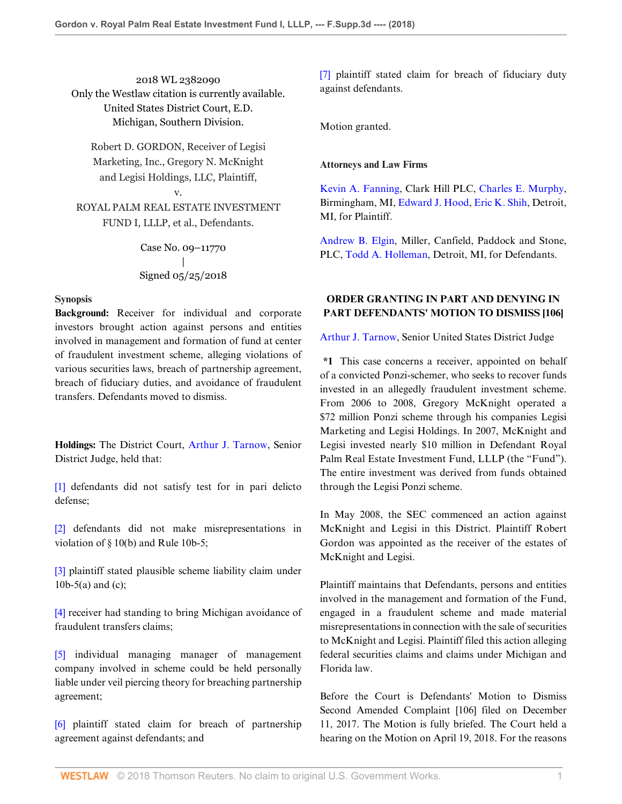2018 WL 2382090 Only the Westlaw citation is currently available. United States District Court, E.D. Michigan, Southern Division.

Robert D. GORDON, Receiver of Legisi Marketing, Inc., Gregory N. McKnight and Legisi Holdings, LLC, Plaintiff,

ROYAL PALM REAL ESTATE INVESTMENT FUND I, LLLP, et al., Defendants.

v.

Case No. 09–11770 | Signed 05/25/2018

### **Synopsis**

**Background:** Receiver for individual and corporate investors brought action against persons and entities involved in management and formation of fund at center of fraudulent investment scheme, alleging violations of various securities laws, breach of partnership agreement, breach of fiduciary duties, and avoidance of fraudulent transfers. Defendants moved to dismiss.

**Holdings:** The District Court, [Arthur J. Tarnow](http://www.westlaw.com/Link/Document/FullText?findType=h&pubNum=176284&cite=0237327401&originatingDoc=Ie0dc0020607311e88808c81b5a222cba&refType=RQ&originationContext=document&vr=3.0&rs=cblt1.0&transitionType=DocumentItem&contextData=(sc.Folder*cid.8c6830bd08db4649a123d2eba321c023*oc.Search)), Senior District Judge, held that:

[1] defendants did not satisfy test for in pari delicto defense;

[2] defendants did not make misrepresentations in violation of § 10(b) and Rule 10b-5;

[3] plaintiff stated plausible scheme liability claim under 10b-5(a) and (c);

[4] receiver had standing to bring Michigan avoidance of fraudulent transfers claims;

[5] individual managing manager of management company involved in scheme could be held personally liable under veil piercing theory for breaching partnership agreement;

[6] plaintiff stated claim for breach of partnership agreement against defendants; and

[7] plaintiff stated claim for breach of fiduciary duty against defendants.

Motion granted.

#### **Attorneys and Law Firms**

[Kevin A. Fanning](http://www.westlaw.com/Link/Document/FullText?findType=h&pubNum=176284&cite=0357137001&originatingDoc=Ie0dc0020607311e88808c81b5a222cba&refType=RQ&originationContext=document&vr=3.0&rs=cblt1.0&transitionType=DocumentItem&contextData=(sc.Folder*cid.8c6830bd08db4649a123d2eba321c023*oc.Search)), Clark Hill PLC, [Charles E. Murphy](http://www.westlaw.com/Link/Document/FullText?findType=h&pubNum=176284&cite=0110101501&originatingDoc=Ie0dc0020607311e88808c81b5a222cba&refType=RQ&originationContext=document&vr=3.0&rs=cblt1.0&transitionType=DocumentItem&contextData=(sc.Folder*cid.8c6830bd08db4649a123d2eba321c023*oc.Search)), Birmingham, MI, [Edward J. Hood,](http://www.westlaw.com/Link/Document/FullText?findType=h&pubNum=176284&cite=0143952801&originatingDoc=Ie0dc0020607311e88808c81b5a222cba&refType=RQ&originationContext=document&vr=3.0&rs=cblt1.0&transitionType=DocumentItem&contextData=(sc.Folder*cid.8c6830bd08db4649a123d2eba321c023*oc.Search)) [Eric K. Shih](http://www.westlaw.com/Link/Document/FullText?findType=h&pubNum=176284&cite=0403732201&originatingDoc=Ie0dc0020607311e88808c81b5a222cba&refType=RQ&originationContext=document&vr=3.0&rs=cblt1.0&transitionType=DocumentItem&contextData=(sc.Folder*cid.8c6830bd08db4649a123d2eba321c023*oc.Search)), Detroit, MI, for Plaintiff.

[Andrew B. Elgin](http://www.westlaw.com/Link/Document/FullText?findType=h&pubNum=176284&cite=0463780901&originatingDoc=Ie0dc0020607311e88808c81b5a222cba&refType=RQ&originationContext=document&vr=3.0&rs=cblt1.0&transitionType=DocumentItem&contextData=(sc.Folder*cid.8c6830bd08db4649a123d2eba321c023*oc.Search)), Miller, Canfield, Paddock and Stone, PLC, [Todd A. Holleman](http://www.westlaw.com/Link/Document/FullText?findType=h&pubNum=176284&cite=0363308001&originatingDoc=Ie0dc0020607311e88808c81b5a222cba&refType=RQ&originationContext=document&vr=3.0&rs=cblt1.0&transitionType=DocumentItem&contextData=(sc.Folder*cid.8c6830bd08db4649a123d2eba321c023*oc.Search)), Detroit, MI, for Defendants.

# **ORDER GRANTING IN PART AND DENYING IN PART DEFENDANTS' MOTION TO DISMISS [106]**

[Arthur J. Tarnow,](http://www.westlaw.com/Link/Document/FullText?findType=h&pubNum=176284&cite=0237327401&originatingDoc=Ie0dc0020607311e88808c81b5a222cba&refType=RQ&originationContext=document&vr=3.0&rs=cblt1.0&transitionType=DocumentItem&contextData=(sc.Folder*cid.8c6830bd08db4649a123d2eba321c023*oc.Search)) Senior United States District Judge

**\*1** This case concerns a receiver, appointed on behalf of a convicted Ponzi-schemer, who seeks to recover funds invested in an allegedly fraudulent investment scheme. From 2006 to 2008, Gregory McKnight operated a \$72 million Ponzi scheme through his companies Legisi Marketing and Legisi Holdings. In 2007, McKnight and Legisi invested nearly \$10 million in Defendant Royal Palm Real Estate Investment Fund, LLLP (the "Fund"). The entire investment was derived from funds obtained through the Legisi Ponzi scheme.

In May 2008, the SEC commenced an action against McKnight and Legisi in this District. Plaintiff Robert Gordon was appointed as the receiver of the estates of McKnight and Legisi.

Plaintiff maintains that Defendants, persons and entities involved in the management and formation of the Fund, engaged in a fraudulent scheme and made material misrepresentations in connection with the sale of securities to McKnight and Legisi. Plaintiff filed this action alleging federal securities claims and claims under Michigan and Florida law.

Before the Court is Defendants' Motion to Dismiss Second Amended Complaint [106] filed on December 11, 2017. The Motion is fully briefed. The Court held a hearing on the Motion on April 19, 2018. For the reasons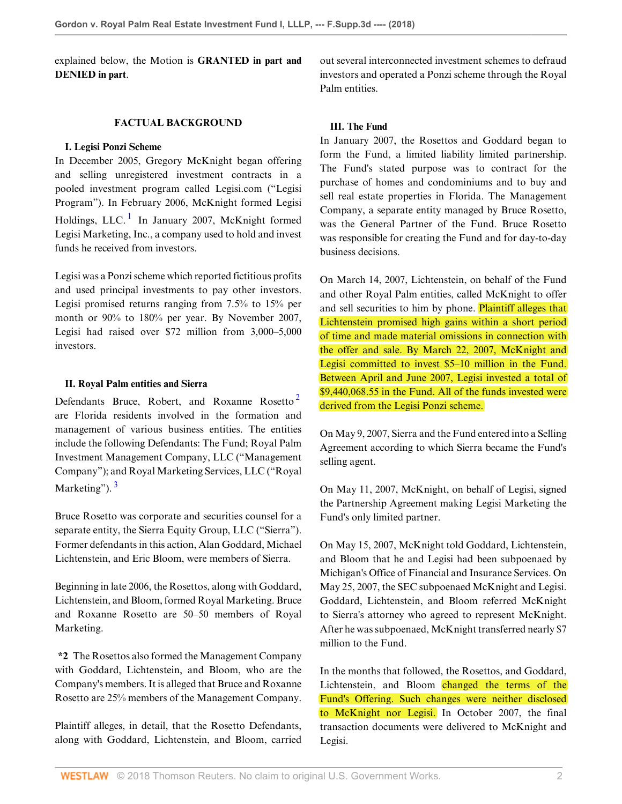explained below, the Motion is **GRANTED in part and DENIED in part**.

### **FACTUAL BACKGROUND**

### **I. Legisi Ponzi Scheme**

<span id="page-1-0"></span>In December 2005, Gregory McKnight began offering and selling unregistered investment contracts in a pooled investment program called Legisi.com ("Legisi Program"). In February 2006, McKnight formed Legisi Holdings, LLC.<sup>[1](#page-9-0)</sup> In January 2007, McKnight formed Legisi Marketing, Inc., a company used to hold and invest funds he received from investors.

Legisi was a Ponzi scheme which reported fictitious profits and used principal investments to pay other investors. Legisi promised returns ranging from 7.5% to 15% per month or 90% to 180% per year. By November 2007, Legisi had raised over \$72 million from 3,000–5,000 investors.

## **II. Royal Palm entities and Sierra**

Defendants Bruce, Robert, and Roxanne Rosetto<sup>[2](#page-9-1)</sup> are Florida residents involved in the formation and management of various business entities. The entities include the following Defendants: The Fund; Royal Palm Investment Management Company, LLC ("Management Company"); and Royal Marketing Services, LLC ("Royal Marketing").<sup>[3](#page-9-2)</sup>

<span id="page-1-2"></span>Bruce Rosetto was corporate and securities counsel for a separate entity, the Sierra Equity Group, LLC ("Sierra"). Former defendants in this action, Alan Goddard, Michael Lichtenstein, and Eric Bloom, were members of Sierra.

Beginning in late 2006, the Rosettos, along with Goddard, Lichtenstein, and Bloom, formed Royal Marketing. Bruce and Roxanne Rosetto are 50–50 members of Royal Marketing.

**\*2** The Rosettos also formed the Management Company with Goddard, Lichtenstein, and Bloom, who are the Company's members. It is alleged that Bruce and Roxanne Rosetto are 25% members of the Management Company.

Plaintiff alleges, in detail, that the Rosetto Defendants, along with Goddard, Lichtenstein, and Bloom, carried out several interconnected investment schemes to defraud investors and operated a Ponzi scheme through the Royal Palm entities.

# **III. The Fund**

In January 2007, the Rosettos and Goddard began to form the Fund, a limited liability limited partnership. The Fund's stated purpose was to contract for the purchase of homes and condominiums and to buy and sell real estate properties in Florida. The Management Company, a separate entity managed by Bruce Rosetto, was the General Partner of the Fund. Bruce Rosetto was responsible for creating the Fund and for day-to-day business decisions.

On March 14, 2007, Lichtenstein, on behalf of the Fund and other Royal Palm entities, called McKnight to offer and sell securities to him by phone. Plaintiff alleges that Lichtenstein promised high gains within a short period of time and made material omissions in connection with the offer and sale. By March 22, 2007, McKnight and Legisi committed to invest \$5–10 million in the Fund. Between April and June 2007, Legisi invested a total of \$9,440,068.55 in the Fund. All of the funds invested were derived from the Legisi Ponzi scheme.

<span id="page-1-1"></span>On May 9, 2007, Sierra and the Fund entered into a Selling Agreement according to which Sierra became the Fund's selling agent.

On May 11, 2007, McKnight, on behalf of Legisi, signed the Partnership Agreement making Legisi Marketing the Fund's only limited partner.

On May 15, 2007, McKnight told Goddard, Lichtenstein, and Bloom that he and Legisi had been subpoenaed by Michigan's Office of Financial and Insurance Services. On May 25, 2007, the SEC subpoenaed McKnight and Legisi. Goddard, Lichtenstein, and Bloom referred McKnight to Sierra's attorney who agreed to represent McKnight. After he was subpoenaed, McKnight transferred nearly \$7 million to the Fund.

In the months that followed, the Rosettos, and Goddard, Lichtenstein, and Bloom changed the terms of the Fund's Offering. Such changes were neither disclosed to McKnight nor Legisi. In October 2007, the final transaction documents were delivered to McKnight and Legisi.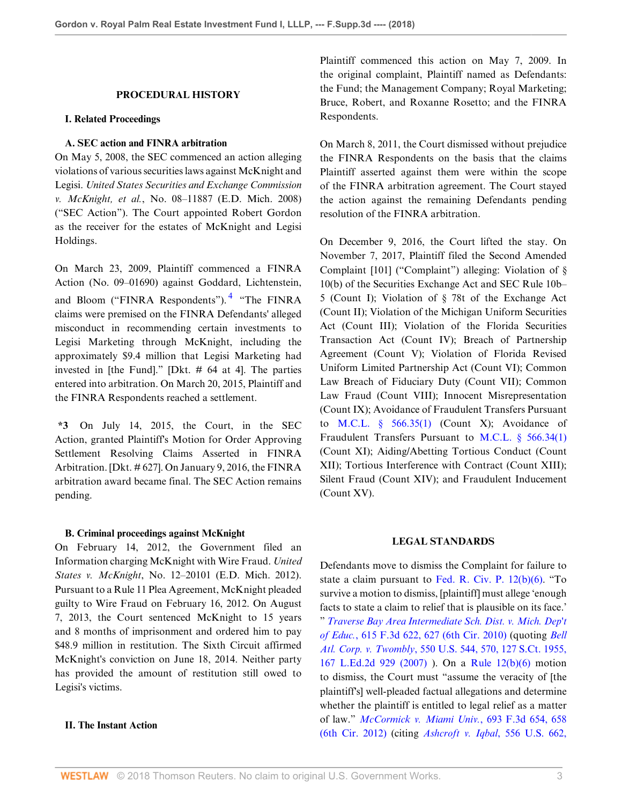### **PROCEDURAL HISTORY**

#### **I. Related Proceedings**

### **A. SEC action and FINRA arbitration**

On May 5, 2008, the SEC commenced an action alleging violations of various securities laws against McKnight and Legisi. *United States Securities and Exchange Commission v. McKnight, et al.*, No. 08–11887 (E.D. Mich. 2008) ("SEC Action"). The Court appointed Robert Gordon as the receiver for the estates of McKnight and Legisi Holdings.

On March 23, 2009, Plaintiff commenced a FINRA Action (No. 09–01690) against Goddard, Lichtenstein, and Bloom ("FINRA Respondents").<sup>[4](#page-9-3)</sup> "The FINRA claims were premised on the FINRA Defendants' alleged misconduct in recommending certain investments to Legisi Marketing through McKnight, including the approximately \$9.4 million that Legisi Marketing had invested in [the Fund]." [Dkt. # 64 at 4]. The parties entered into arbitration. On March 20, 2015, Plaintiff and the FINRA Respondents reached a settlement.

**\*3** On July 14, 2015, the Court, in the SEC Action, granted Plaintiff's Motion for Order Approving Settlement Resolving Claims Asserted in FINRA Arbitration. [Dkt. # 627]. On January 9, 2016, the FINRA arbitration award became final. The SEC Action remains pending.

### **B. Criminal proceedings against McKnight**

On February 14, 2012, the Government filed an Information charging McKnight with Wire Fraud. *United States v. McKnight*, No. 12–20101 (E.D. Mich. 2012). Pursuant to a Rule 11 Plea Agreement, McKnight pleaded guilty to Wire Fraud on February 16, 2012. On August 7, 2013, the Court sentenced McKnight to 15 years and 8 months of imprisonment and ordered him to pay \$48.9 million in restitution. The Sixth Circuit affirmed McKnight's conviction on June 18, 2014. Neither party has provided the amount of restitution still owed to Legisi's victims.

#### **II. The Instant Action**

Plaintiff commenced this action on May 7, 2009. In the original complaint, Plaintiff named as Defendants: the Fund; the Management Company; Royal Marketing; Bruce, Robert, and Roxanne Rosetto; and the FINRA Respondents.

On March 8, 2011, the Court dismissed without prejudice the FINRA Respondents on the basis that the claims Plaintiff asserted against them were within the scope of the FINRA arbitration agreement. The Court stayed the action against the remaining Defendants pending resolution of the FINRA arbitration.

<span id="page-2-0"></span>On December 9, 2016, the Court lifted the stay. On November 7, 2017, Plaintiff filed the Second Amended Complaint [101] ("Complaint") alleging: Violation of § 10(b) of the Securities Exchange Act and SEC Rule 10b– 5 (Count I); Violation of § 78t of the Exchange Act (Count II); Violation of the Michigan Uniform Securities Act (Count III); Violation of the Florida Securities Transaction Act (Count IV); Breach of Partnership Agreement (Count V); Violation of Florida Revised Uniform Limited Partnership Act (Count VI); Common Law Breach of Fiduciary Duty (Count VII); Common Law Fraud (Count VIII); Innocent Misrepresentation (Count IX); Avoidance of Fraudulent Transfers Pursuant to M.C.L.  $§$  566.35(1) (Count X); Avoidance of Fraudulent Transfers Pursuant to [M.C.L. § 566.34\(1\)](http://www.westlaw.com/Link/Document/FullText?findType=L&pubNum=1000043&cite=MIST566.34&originatingDoc=Ie0dc0020607311e88808c81b5a222cba&refType=SP&originationContext=document&vr=3.0&rs=cblt1.0&transitionType=DocumentItem&contextData=(sc.Folder*cid.8c6830bd08db4649a123d2eba321c023*oc.Search)#co_pp_f1c50000821b0) (Count XI); Aiding/Abetting Tortious Conduct (Count XII); Tortious Interference with Contract (Count XIII); Silent Fraud (Count XIV); and Fraudulent Inducement (Count XV).

### **LEGAL STANDARDS**

Defendants move to dismiss the Complaint for failure to state a claim pursuant to [Fed. R. Civ. P. 12\(b\)\(6\)](http://www.westlaw.com/Link/Document/FullText?findType=L&pubNum=1000600&cite=USFRCPR12&originatingDoc=Ie0dc0020607311e88808c81b5a222cba&refType=LQ&originationContext=document&vr=3.0&rs=cblt1.0&transitionType=DocumentItem&contextData=(sc.Folder*cid.8c6830bd08db4649a123d2eba321c023*oc.Search)). "To survive a motion to dismiss, [plaintiff] must allege 'enough facts to state a claim to relief that is plausible on its face.' " *[Traverse Bay Area Intermediate Sch. Dist. v. Mich. Dep't](http://www.westlaw.com/Link/Document/FullText?findType=Y&serNum=2022683579&pubNum=0000506&originatingDoc=Ie0dc0020607311e88808c81b5a222cba&refType=RP&fi=co_pp_sp_506_627&originationContext=document&vr=3.0&rs=cblt1.0&transitionType=DocumentItem&contextData=(sc.Folder*cid.8c6830bd08db4649a123d2eba321c023*oc.Search)#co_pp_sp_506_627) of Educ.*[, 615 F.3d 622, 627 \(6th Cir. 2010\)](http://www.westlaw.com/Link/Document/FullText?findType=Y&serNum=2022683579&pubNum=0000506&originatingDoc=Ie0dc0020607311e88808c81b5a222cba&refType=RP&fi=co_pp_sp_506_627&originationContext=document&vr=3.0&rs=cblt1.0&transitionType=DocumentItem&contextData=(sc.Folder*cid.8c6830bd08db4649a123d2eba321c023*oc.Search)#co_pp_sp_506_627) (quoting *[Bell](http://www.westlaw.com/Link/Document/FullText?findType=Y&serNum=2012293296&pubNum=0000708&originatingDoc=Ie0dc0020607311e88808c81b5a222cba&refType=RP&originationContext=document&vr=3.0&rs=cblt1.0&transitionType=DocumentItem&contextData=(sc.Folder*cid.8c6830bd08db4649a123d2eba321c023*oc.Search)) Atl. Corp. v. Twombly*[, 550 U.S. 544, 570, 127 S.Ct. 1955,](http://www.westlaw.com/Link/Document/FullText?findType=Y&serNum=2012293296&pubNum=0000708&originatingDoc=Ie0dc0020607311e88808c81b5a222cba&refType=RP&originationContext=document&vr=3.0&rs=cblt1.0&transitionType=DocumentItem&contextData=(sc.Folder*cid.8c6830bd08db4649a123d2eba321c023*oc.Search)) [167 L.Ed.2d 929 \(2007\)](http://www.westlaw.com/Link/Document/FullText?findType=Y&serNum=2012293296&pubNum=0000708&originatingDoc=Ie0dc0020607311e88808c81b5a222cba&refType=RP&originationContext=document&vr=3.0&rs=cblt1.0&transitionType=DocumentItem&contextData=(sc.Folder*cid.8c6830bd08db4649a123d2eba321c023*oc.Search)) ). On a [Rule 12\(b\)\(6\)](http://www.westlaw.com/Link/Document/FullText?findType=L&pubNum=1000600&cite=USFRCPR12&originatingDoc=Ie0dc0020607311e88808c81b5a222cba&refType=LQ&originationContext=document&vr=3.0&rs=cblt1.0&transitionType=DocumentItem&contextData=(sc.Folder*cid.8c6830bd08db4649a123d2eba321c023*oc.Search)) motion to dismiss, the Court must "assume the veracity of [the plaintiff's] well-pleaded factual allegations and determine whether the plaintiff is entitled to legal relief as a matter of law." *[McCormick v. Miami Univ.](http://www.westlaw.com/Link/Document/FullText?findType=Y&serNum=2028572730&pubNum=0000506&originatingDoc=Ie0dc0020607311e88808c81b5a222cba&refType=RP&fi=co_pp_sp_506_658&originationContext=document&vr=3.0&rs=cblt1.0&transitionType=DocumentItem&contextData=(sc.Folder*cid.8c6830bd08db4649a123d2eba321c023*oc.Search)#co_pp_sp_506_658)*, 693 F.3d 654, 658 [\(6th Cir. 2012\)](http://www.westlaw.com/Link/Document/FullText?findType=Y&serNum=2028572730&pubNum=0000506&originatingDoc=Ie0dc0020607311e88808c81b5a222cba&refType=RP&fi=co_pp_sp_506_658&originationContext=document&vr=3.0&rs=cblt1.0&transitionType=DocumentItem&contextData=(sc.Folder*cid.8c6830bd08db4649a123d2eba321c023*oc.Search)#co_pp_sp_506_658) (citing *[Ashcroft v. Iqbal](http://www.westlaw.com/Link/Document/FullText?findType=Y&serNum=2018848474&pubNum=0000708&originatingDoc=Ie0dc0020607311e88808c81b5a222cba&refType=RP&originationContext=document&vr=3.0&rs=cblt1.0&transitionType=DocumentItem&contextData=(sc.Folder*cid.8c6830bd08db4649a123d2eba321c023*oc.Search))*, 556 U.S. 662,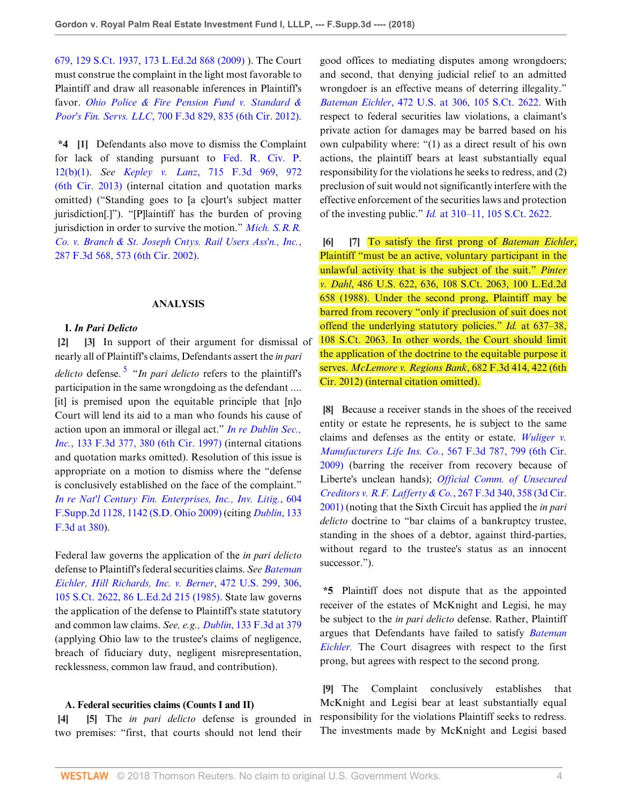[679, 129 S.Ct. 1937, 173 L.Ed.2d 868 \(2009\)](http://www.westlaw.com/Link/Document/FullText?findType=Y&serNum=2018848474&pubNum=0000708&originatingDoc=Ie0dc0020607311e88808c81b5a222cba&refType=RP&originationContext=document&vr=3.0&rs=cblt1.0&transitionType=DocumentItem&contextData=(sc.Folder*cid.8c6830bd08db4649a123d2eba321c023*oc.Search)) ). The Court must construe the complaint in the light most favorable to Plaintiff and draw all reasonable inferences in Plaintiff's favor. *[Ohio Police & Fire Pension Fund v. Standard &](http://www.westlaw.com/Link/Document/FullText?findType=Y&serNum=2029316523&pubNum=0000506&originatingDoc=Ie0dc0020607311e88808c81b5a222cba&refType=RP&fi=co_pp_sp_506_835&originationContext=document&vr=3.0&rs=cblt1.0&transitionType=DocumentItem&contextData=(sc.Folder*cid.8c6830bd08db4649a123d2eba321c023*oc.Search)#co_pp_sp_506_835) Poor's Fin. Servs. LLC*[, 700 F.3d 829, 835 \(6th Cir. 2012\)](http://www.westlaw.com/Link/Document/FullText?findType=Y&serNum=2029316523&pubNum=0000506&originatingDoc=Ie0dc0020607311e88808c81b5a222cba&refType=RP&fi=co_pp_sp_506_835&originationContext=document&vr=3.0&rs=cblt1.0&transitionType=DocumentItem&contextData=(sc.Folder*cid.8c6830bd08db4649a123d2eba321c023*oc.Search)#co_pp_sp_506_835).

**\*4 [1]** Defendants also move to dismiss the Complaint for lack of standing pursuant to [Fed. R. Civ. P.](http://www.westlaw.com/Link/Document/FullText?findType=L&pubNum=1000600&cite=USFRCPR12&originatingDoc=Ie0dc0020607311e88808c81b5a222cba&refType=LQ&originationContext=document&vr=3.0&rs=cblt1.0&transitionType=DocumentItem&contextData=(sc.Folder*cid.8c6830bd08db4649a123d2eba321c023*oc.Search)) [12\(b\)\(1\).](http://www.westlaw.com/Link/Document/FullText?findType=L&pubNum=1000600&cite=USFRCPR12&originatingDoc=Ie0dc0020607311e88808c81b5a222cba&refType=LQ&originationContext=document&vr=3.0&rs=cblt1.0&transitionType=DocumentItem&contextData=(sc.Folder*cid.8c6830bd08db4649a123d2eba321c023*oc.Search)) *See Kepley v. Lanz*[, 715 F.3d 969, 972](http://www.westlaw.com/Link/Document/FullText?findType=Y&serNum=2030499342&pubNum=0000506&originatingDoc=Ie0dc0020607311e88808c81b5a222cba&refType=RP&fi=co_pp_sp_506_972&originationContext=document&vr=3.0&rs=cblt1.0&transitionType=DocumentItem&contextData=(sc.Folder*cid.8c6830bd08db4649a123d2eba321c023*oc.Search)#co_pp_sp_506_972) [\(6th Cir. 2013\)](http://www.westlaw.com/Link/Document/FullText?findType=Y&serNum=2030499342&pubNum=0000506&originatingDoc=Ie0dc0020607311e88808c81b5a222cba&refType=RP&fi=co_pp_sp_506_972&originationContext=document&vr=3.0&rs=cblt1.0&transitionType=DocumentItem&contextData=(sc.Folder*cid.8c6830bd08db4649a123d2eba321c023*oc.Search)#co_pp_sp_506_972) (internal citation and quotation marks omitted) ("Standing goes to [a c]ourt's subject matter jurisdiction[.]"). "[P]laintiff has the burden of proving jurisdiction in order to survive the motion." *[Mich. S.R.R.](http://www.westlaw.com/Link/Document/FullText?findType=Y&serNum=2002259454&pubNum=0000506&originatingDoc=Ie0dc0020607311e88808c81b5a222cba&refType=RP&fi=co_pp_sp_506_573&originationContext=document&vr=3.0&rs=cblt1.0&transitionType=DocumentItem&contextData=(sc.Folder*cid.8c6830bd08db4649a123d2eba321c023*oc.Search)#co_pp_sp_506_573) [Co. v. Branch & St. Joseph Cntys. Rail Users Ass'n., Inc.](http://www.westlaw.com/Link/Document/FullText?findType=Y&serNum=2002259454&pubNum=0000506&originatingDoc=Ie0dc0020607311e88808c81b5a222cba&refType=RP&fi=co_pp_sp_506_573&originationContext=document&vr=3.0&rs=cblt1.0&transitionType=DocumentItem&contextData=(sc.Folder*cid.8c6830bd08db4649a123d2eba321c023*oc.Search)#co_pp_sp_506_573)*, [287 F.3d 568, 573 \(6th Cir. 2002\).](http://www.westlaw.com/Link/Document/FullText?findType=Y&serNum=2002259454&pubNum=0000506&originatingDoc=Ie0dc0020607311e88808c81b5a222cba&refType=RP&fi=co_pp_sp_506_573&originationContext=document&vr=3.0&rs=cblt1.0&transitionType=DocumentItem&contextData=(sc.Folder*cid.8c6830bd08db4649a123d2eba321c023*oc.Search)#co_pp_sp_506_573)

#### **ANALYSIS**

#### <span id="page-3-0"></span>**I.** *In Pari Delicto*

**[2] [3]** In support of their argument for dismissal of nearly all of Plaintiff's claims, Defendants assert the *in pari delicto* defense. [5](#page-9-4) "*In pari delicto* refers to the plaintiff's participation in the same wrongdoing as the defendant .... [it] is premised upon the equitable principle that [n]o Court will lend its aid to a man who founds his cause of action upon an immoral or illegal act." *[In re Dublin Sec.,](http://www.westlaw.com/Link/Document/FullText?findType=Y&serNum=1997248737&pubNum=0000506&originatingDoc=Ie0dc0020607311e88808c81b5a222cba&refType=RP&fi=co_pp_sp_506_380&originationContext=document&vr=3.0&rs=cblt1.0&transitionType=DocumentItem&contextData=(sc.Folder*cid.8c6830bd08db4649a123d2eba321c023*oc.Search)#co_pp_sp_506_380) Inc.*[, 133 F.3d 377, 380 \(6th Cir. 1997\)](http://www.westlaw.com/Link/Document/FullText?findType=Y&serNum=1997248737&pubNum=0000506&originatingDoc=Ie0dc0020607311e88808c81b5a222cba&refType=RP&fi=co_pp_sp_506_380&originationContext=document&vr=3.0&rs=cblt1.0&transitionType=DocumentItem&contextData=(sc.Folder*cid.8c6830bd08db4649a123d2eba321c023*oc.Search)#co_pp_sp_506_380) (internal citations and quotation marks omitted). Resolution of this issue is appropriate on a motion to dismiss where the "defense is conclusively established on the face of the complaint." *[In re Nat'l Century Fin. Enterprises, Inc., Inv. Litig.](http://www.westlaw.com/Link/Document/FullText?findType=Y&serNum=2018411244&pubNum=0004637&originatingDoc=Ie0dc0020607311e88808c81b5a222cba&refType=RP&fi=co_pp_sp_4637_1142&originationContext=document&vr=3.0&rs=cblt1.0&transitionType=DocumentItem&contextData=(sc.Folder*cid.8c6830bd08db4649a123d2eba321c023*oc.Search)#co_pp_sp_4637_1142)*, 604 [F.Supp.2d 1128, 1142 \(S.D. Ohio 2009\)](http://www.westlaw.com/Link/Document/FullText?findType=Y&serNum=2018411244&pubNum=0004637&originatingDoc=Ie0dc0020607311e88808c81b5a222cba&refType=RP&fi=co_pp_sp_4637_1142&originationContext=document&vr=3.0&rs=cblt1.0&transitionType=DocumentItem&contextData=(sc.Folder*cid.8c6830bd08db4649a123d2eba321c023*oc.Search)#co_pp_sp_4637_1142) (citing *[Dublin](http://www.westlaw.com/Link/Document/FullText?findType=Y&serNum=1997248737&pubNum=0000506&originatingDoc=Ie0dc0020607311e88808c81b5a222cba&refType=RP&fi=co_pp_sp_506_380&originationContext=document&vr=3.0&rs=cblt1.0&transitionType=DocumentItem&contextData=(sc.Folder*cid.8c6830bd08db4649a123d2eba321c023*oc.Search)#co_pp_sp_506_380)*, 133 [F.3d at 380](http://www.westlaw.com/Link/Document/FullText?findType=Y&serNum=1997248737&pubNum=0000506&originatingDoc=Ie0dc0020607311e88808c81b5a222cba&refType=RP&fi=co_pp_sp_506_380&originationContext=document&vr=3.0&rs=cblt1.0&transitionType=DocumentItem&contextData=(sc.Folder*cid.8c6830bd08db4649a123d2eba321c023*oc.Search)#co_pp_sp_506_380)).

Federal law governs the application of the *in pari delicto* defense to Plaintiff's federal securities claims. *See [Bateman](http://www.westlaw.com/Link/Document/FullText?findType=Y&serNum=1985129531&pubNum=0000708&originatingDoc=Ie0dc0020607311e88808c81b5a222cba&refType=RP&originationContext=document&vr=3.0&rs=cblt1.0&transitionType=DocumentItem&contextData=(sc.Folder*cid.8c6830bd08db4649a123d2eba321c023*oc.Search)) [Eichler, Hill Richards, Inc. v. Berner](http://www.westlaw.com/Link/Document/FullText?findType=Y&serNum=1985129531&pubNum=0000708&originatingDoc=Ie0dc0020607311e88808c81b5a222cba&refType=RP&originationContext=document&vr=3.0&rs=cblt1.0&transitionType=DocumentItem&contextData=(sc.Folder*cid.8c6830bd08db4649a123d2eba321c023*oc.Search))*, 472 U.S. 299, 306, [105 S.Ct. 2622, 86 L.Ed.2d 215 \(1985\)](http://www.westlaw.com/Link/Document/FullText?findType=Y&serNum=1985129531&pubNum=0000708&originatingDoc=Ie0dc0020607311e88808c81b5a222cba&refType=RP&originationContext=document&vr=3.0&rs=cblt1.0&transitionType=DocumentItem&contextData=(sc.Folder*cid.8c6830bd08db4649a123d2eba321c023*oc.Search)). State law governs the application of the defense to Plaintiff's state statutory and common law claims. *See, e.g., Dublin*[, 133 F.3d at 379](http://www.westlaw.com/Link/Document/FullText?findType=Y&serNum=1997248737&pubNum=0000506&originatingDoc=Ie0dc0020607311e88808c81b5a222cba&refType=RP&fi=co_pp_sp_506_379&originationContext=document&vr=3.0&rs=cblt1.0&transitionType=DocumentItem&contextData=(sc.Folder*cid.8c6830bd08db4649a123d2eba321c023*oc.Search)#co_pp_sp_506_379) (applying Ohio law to the trustee's claims of negligence, breach of fiduciary duty, negligent misrepresentation, recklessness, common law fraud, and contribution).

#### **A. Federal securities claims (Counts I and II)**

**[4] [5]** The *in pari delicto* defense is grounded in two premises: "first, that courts should not lend their

good offices to mediating disputes among wrongdoers; and second, that denying judicial relief to an admitted wrongdoer is an effective means of deterring illegality." *Bateman Eichler*[, 472 U.S. at 306, 105 S.Ct. 2622](http://www.westlaw.com/Link/Document/FullText?findType=Y&serNum=1985129531&pubNum=0000708&originatingDoc=Ie0dc0020607311e88808c81b5a222cba&refType=RP&originationContext=document&vr=3.0&rs=cblt1.0&transitionType=DocumentItem&contextData=(sc.Folder*cid.8c6830bd08db4649a123d2eba321c023*oc.Search)). With respect to federal securities law violations, a claimant's private action for damages may be barred based on his own culpability where: "(1) as a direct result of his own actions, the plaintiff bears at least substantially equal responsibility for the violations he seeks to redress, and (2) preclusion of suit would not significantly interfere with the effective enforcement of the securities laws and protection of the investing public." *Id.* [at 310–11, 105 S.Ct. 2622.](http://www.westlaw.com/Link/Document/FullText?findType=Y&serNum=1985129531&pubNum=0000708&originatingDoc=Ie0dc0020607311e88808c81b5a222cba&refType=RP&originationContext=document&vr=3.0&rs=cblt1.0&transitionType=DocumentItem&contextData=(sc.Folder*cid.8c6830bd08db4649a123d2eba321c023*oc.Search))

**[6] [7]** To satisfy the first prong of *[Bateman Eichler](http://www.westlaw.com/Link/Document/FullText?findType=Y&serNum=1985129531&pubNum=0000780&originatingDoc=Ie0dc0020607311e88808c81b5a222cba&refType=RP&originationContext=document&vr=3.0&rs=cblt1.0&transitionType=DocumentItem&contextData=(sc.Folder*cid.8c6830bd08db4649a123d2eba321c023*oc.Search))*, Plaintiff "must be an active, voluntary participant in the unlawful activity that is the subject of the suit." *[Pinter](http://www.westlaw.com/Link/Document/FullText?findType=Y&serNum=1988078092&pubNum=0000708&originatingDoc=Ie0dc0020607311e88808c81b5a222cba&refType=RP&originationContext=document&vr=3.0&rs=cblt1.0&transitionType=DocumentItem&contextData=(sc.Folder*cid.8c6830bd08db4649a123d2eba321c023*oc.Search)) v. Dahl*[, 486 U.S. 622, 636, 108 S.Ct. 2063, 100 L.Ed.2d](http://www.westlaw.com/Link/Document/FullText?findType=Y&serNum=1988078092&pubNum=0000708&originatingDoc=Ie0dc0020607311e88808c81b5a222cba&refType=RP&originationContext=document&vr=3.0&rs=cblt1.0&transitionType=DocumentItem&contextData=(sc.Folder*cid.8c6830bd08db4649a123d2eba321c023*oc.Search)) [658 \(1988\)](http://www.westlaw.com/Link/Document/FullText?findType=Y&serNum=1988078092&pubNum=0000708&originatingDoc=Ie0dc0020607311e88808c81b5a222cba&refType=RP&originationContext=document&vr=3.0&rs=cblt1.0&transitionType=DocumentItem&contextData=(sc.Folder*cid.8c6830bd08db4649a123d2eba321c023*oc.Search)). Under the second prong, Plaintiff may be barred from recovery "only if preclusion of suit does not offend the underlying statutory policies." *Id.* [at 637–38,](http://www.westlaw.com/Link/Document/FullText?findType=Y&serNum=1988078092&pubNum=0000708&originatingDoc=Ie0dc0020607311e88808c81b5a222cba&refType=RP&originationContext=document&vr=3.0&rs=cblt1.0&transitionType=DocumentItem&contextData=(sc.Folder*cid.8c6830bd08db4649a123d2eba321c023*oc.Search)) [108 S.Ct. 2063.](http://www.westlaw.com/Link/Document/FullText?findType=Y&serNum=1988078092&pubNum=0000708&originatingDoc=Ie0dc0020607311e88808c81b5a222cba&refType=RP&originationContext=document&vr=3.0&rs=cblt1.0&transitionType=DocumentItem&contextData=(sc.Folder*cid.8c6830bd08db4649a123d2eba321c023*oc.Search)) In other words, the Court should limit the application of the doctrine to the equitable purpose it serves. *[McLemore v. Regions Bank](http://www.westlaw.com/Link/Document/FullText?findType=Y&serNum=2027861990&pubNum=0000506&originatingDoc=Ie0dc0020607311e88808c81b5a222cba&refType=RP&fi=co_pp_sp_506_422&originationContext=document&vr=3.0&rs=cblt1.0&transitionType=DocumentItem&contextData=(sc.Folder*cid.8c6830bd08db4649a123d2eba321c023*oc.Search)#co_pp_sp_506_422)*, 682 F.3d 414, 422 (6th [Cir. 2012\)](http://www.westlaw.com/Link/Document/FullText?findType=Y&serNum=2027861990&pubNum=0000506&originatingDoc=Ie0dc0020607311e88808c81b5a222cba&refType=RP&fi=co_pp_sp_506_422&originationContext=document&vr=3.0&rs=cblt1.0&transitionType=DocumentItem&contextData=(sc.Folder*cid.8c6830bd08db4649a123d2eba321c023*oc.Search)#co_pp_sp_506_422) (internal citation omitted).

**[8]** Because a receiver stands in the shoes of the received entity or estate he represents, he is subject to the same claims and defenses as the entity or estate. *[Wuliger v.](http://www.westlaw.com/Link/Document/FullText?findType=Y&serNum=2018924537&pubNum=0000506&originatingDoc=Ie0dc0020607311e88808c81b5a222cba&refType=RP&fi=co_pp_sp_506_799&originationContext=document&vr=3.0&rs=cblt1.0&transitionType=DocumentItem&contextData=(sc.Folder*cid.8c6830bd08db4649a123d2eba321c023*oc.Search)#co_pp_sp_506_799) Manufacturers Life Ins. Co.*[, 567 F.3d 787, 799 \(6th Cir.](http://www.westlaw.com/Link/Document/FullText?findType=Y&serNum=2018924537&pubNum=0000506&originatingDoc=Ie0dc0020607311e88808c81b5a222cba&refType=RP&fi=co_pp_sp_506_799&originationContext=document&vr=3.0&rs=cblt1.0&transitionType=DocumentItem&contextData=(sc.Folder*cid.8c6830bd08db4649a123d2eba321c023*oc.Search)#co_pp_sp_506_799) [2009\)](http://www.westlaw.com/Link/Document/FullText?findType=Y&serNum=2018924537&pubNum=0000506&originatingDoc=Ie0dc0020607311e88808c81b5a222cba&refType=RP&fi=co_pp_sp_506_799&originationContext=document&vr=3.0&rs=cblt1.0&transitionType=DocumentItem&contextData=(sc.Folder*cid.8c6830bd08db4649a123d2eba321c023*oc.Search)#co_pp_sp_506_799) (barring the receiver from recovery because of Liberte's unclean hands); *[Official Comm. of Unsecured](http://www.westlaw.com/Link/Document/FullText?findType=Y&serNum=2001862799&pubNum=0000506&originatingDoc=Ie0dc0020607311e88808c81b5a222cba&refType=RP&fi=co_pp_sp_506_358&originationContext=document&vr=3.0&rs=cblt1.0&transitionType=DocumentItem&contextData=(sc.Folder*cid.8c6830bd08db4649a123d2eba321c023*oc.Search)#co_pp_sp_506_358) [Creditors v. R.F. Lafferty & Co.](http://www.westlaw.com/Link/Document/FullText?findType=Y&serNum=2001862799&pubNum=0000506&originatingDoc=Ie0dc0020607311e88808c81b5a222cba&refType=RP&fi=co_pp_sp_506_358&originationContext=document&vr=3.0&rs=cblt1.0&transitionType=DocumentItem&contextData=(sc.Folder*cid.8c6830bd08db4649a123d2eba321c023*oc.Search)#co_pp_sp_506_358)*, 267 F.3d 340, 358 (3d Cir. [2001\)](http://www.westlaw.com/Link/Document/FullText?findType=Y&serNum=2001862799&pubNum=0000506&originatingDoc=Ie0dc0020607311e88808c81b5a222cba&refType=RP&fi=co_pp_sp_506_358&originationContext=document&vr=3.0&rs=cblt1.0&transitionType=DocumentItem&contextData=(sc.Folder*cid.8c6830bd08db4649a123d2eba321c023*oc.Search)#co_pp_sp_506_358) (noting that the Sixth Circuit has applied the *in pari delicto* doctrine to "bar claims of a bankruptcy trustee, standing in the shoes of a debtor, against third-parties, without regard to the trustee's status as an innocent successor.").

**\*5** Plaintiff does not dispute that as the appointed receiver of the estates of McKnight and Legisi, he may be subject to the *in pari delicto* defense. Rather, Plaintiff argues that Defendants have failed to satisfy *[Bateman](http://www.westlaw.com/Link/Document/FullText?findType=Y&serNum=1985129531&pubNum=0000780&originatingDoc=Ie0dc0020607311e88808c81b5a222cba&refType=RP&originationContext=document&vr=3.0&rs=cblt1.0&transitionType=DocumentItem&contextData=(sc.Folder*cid.8c6830bd08db4649a123d2eba321c023*oc.Search)) [Eichler.](http://www.westlaw.com/Link/Document/FullText?findType=Y&serNum=1985129531&pubNum=0000780&originatingDoc=Ie0dc0020607311e88808c81b5a222cba&refType=RP&originationContext=document&vr=3.0&rs=cblt1.0&transitionType=DocumentItem&contextData=(sc.Folder*cid.8c6830bd08db4649a123d2eba321c023*oc.Search))* The Court disagrees with respect to the first prong, but agrees with respect to the second prong.

**[9]** The Complaint conclusively establishes that McKnight and Legisi bear at least substantially equal responsibility for the violations Plaintiff seeks to redress. The investments made by McKnight and Legisi based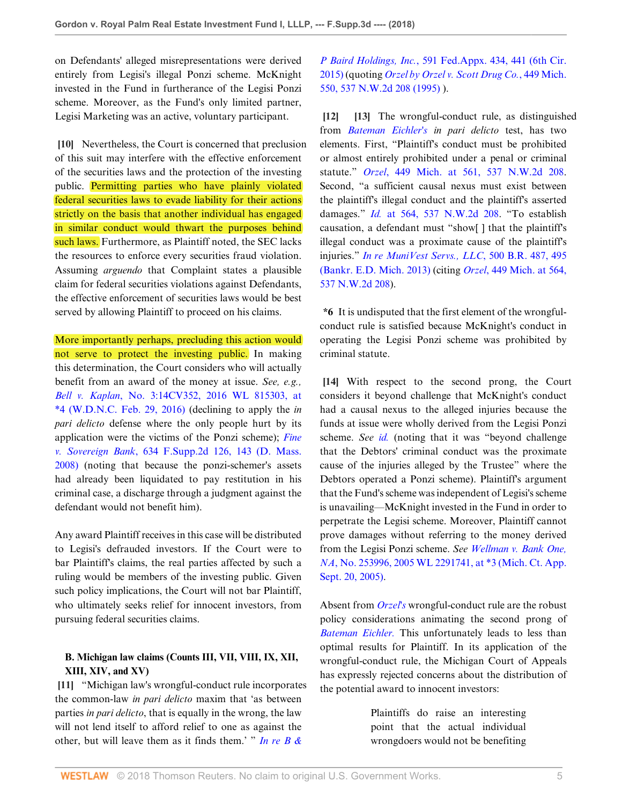on Defendants' alleged misrepresentations were derived entirely from Legisi's illegal Ponzi scheme. McKnight invested in the Fund in furtherance of the Legisi Ponzi scheme. Moreover, as the Fund's only limited partner, Legisi Marketing was an active, voluntary participant.

**[10]** Nevertheless, the Court is concerned that preclusion of this suit may interfere with the effective enforcement of the securities laws and the protection of the investing public. Permitting parties who have plainly violated federal securities laws to evade liability for their actions strictly on the basis that another individual has engaged in similar conduct would thwart the purposes behind such laws. Furthermore, as Plaintiff noted, the SEC lacks the resources to enforce every securities fraud violation. Assuming *arguendo* that Complaint states a plausible claim for federal securities violations against Defendants, the effective enforcement of securities laws would be best served by allowing Plaintiff to proceed on his claims.

More importantly perhaps, precluding this action would not serve to protect the investing public. In making this determination, the Court considers who will actually benefit from an award of the money at issue. *See, e.g., Bell v. Kaplan*[, No. 3:14CV352, 2016 WL 815303, at](http://www.westlaw.com/Link/Document/FullText?findType=Y&serNum=2038393523&pubNum=0000999&originatingDoc=Ie0dc0020607311e88808c81b5a222cba&refType=RP&originationContext=document&vr=3.0&rs=cblt1.0&transitionType=DocumentItem&contextData=(sc.Folder*cid.8c6830bd08db4649a123d2eba321c023*oc.Search)) [\\*4 \(W.D.N.C. Feb. 29, 2016\)](http://www.westlaw.com/Link/Document/FullText?findType=Y&serNum=2038393523&pubNum=0000999&originatingDoc=Ie0dc0020607311e88808c81b5a222cba&refType=RP&originationContext=document&vr=3.0&rs=cblt1.0&transitionType=DocumentItem&contextData=(sc.Folder*cid.8c6830bd08db4649a123d2eba321c023*oc.Search)) (declining to apply the *in pari delicto* defense where the only people hurt by its application were the victims of the Ponzi scheme); *[Fine](http://www.westlaw.com/Link/Document/FullText?findType=Y&serNum=2016866222&pubNum=0004637&originatingDoc=Ie0dc0020607311e88808c81b5a222cba&refType=RP&fi=co_pp_sp_4637_143&originationContext=document&vr=3.0&rs=cblt1.0&transitionType=DocumentItem&contextData=(sc.Folder*cid.8c6830bd08db4649a123d2eba321c023*oc.Search)#co_pp_sp_4637_143) v. Sovereign Bank*[, 634 F.Supp.2d 126, 143 \(D. Mass.](http://www.westlaw.com/Link/Document/FullText?findType=Y&serNum=2016866222&pubNum=0004637&originatingDoc=Ie0dc0020607311e88808c81b5a222cba&refType=RP&fi=co_pp_sp_4637_143&originationContext=document&vr=3.0&rs=cblt1.0&transitionType=DocumentItem&contextData=(sc.Folder*cid.8c6830bd08db4649a123d2eba321c023*oc.Search)#co_pp_sp_4637_143) [2008\)](http://www.westlaw.com/Link/Document/FullText?findType=Y&serNum=2016866222&pubNum=0004637&originatingDoc=Ie0dc0020607311e88808c81b5a222cba&refType=RP&fi=co_pp_sp_4637_143&originationContext=document&vr=3.0&rs=cblt1.0&transitionType=DocumentItem&contextData=(sc.Folder*cid.8c6830bd08db4649a123d2eba321c023*oc.Search)#co_pp_sp_4637_143) (noting that because the ponzi-schemer's assets had already been liquidated to pay restitution in his criminal case, a discharge through a judgment against the defendant would not benefit him).

Any award Plaintiff receives in this case will be distributed to Legisi's defrauded investors. If the Court were to bar Plaintiff's claims, the real parties affected by such a ruling would be members of the investing public. Given such policy implications, the Court will not bar Plaintiff, who ultimately seeks relief for innocent investors, from pursuing federal securities claims.

# **B. Michigan law claims (Counts III, VII, VIII, IX, XII, XIII, XIV, and XV)**

**[11]** "Michigan law's wrongful-conduct rule incorporates the common-law *in pari delicto* maxim that 'as between parties *in pari delicto*, that is equally in the wrong, the law will not lend itself to afford relief to one as against the other, but will leave them as it finds them.' " *[In re B &](http://www.westlaw.com/Link/Document/FullText?findType=Y&serNum=2035190486&pubNum=0006538&originatingDoc=Ie0dc0020607311e88808c81b5a222cba&refType=RP&fi=co_pp_sp_6538_441&originationContext=document&vr=3.0&rs=cblt1.0&transitionType=DocumentItem&contextData=(sc.Folder*cid.8c6830bd08db4649a123d2eba321c023*oc.Search)#co_pp_sp_6538_441)*

*P Baird Holdings, Inc.*[, 591 Fed.Appx. 434, 441 \(6th Cir.](http://www.westlaw.com/Link/Document/FullText?findType=Y&serNum=2035190486&pubNum=0006538&originatingDoc=Ie0dc0020607311e88808c81b5a222cba&refType=RP&fi=co_pp_sp_6538_441&originationContext=document&vr=3.0&rs=cblt1.0&transitionType=DocumentItem&contextData=(sc.Folder*cid.8c6830bd08db4649a123d2eba321c023*oc.Search)#co_pp_sp_6538_441) [2015\)](http://www.westlaw.com/Link/Document/FullText?findType=Y&serNum=2035190486&pubNum=0006538&originatingDoc=Ie0dc0020607311e88808c81b5a222cba&refType=RP&fi=co_pp_sp_6538_441&originationContext=document&vr=3.0&rs=cblt1.0&transitionType=DocumentItem&contextData=(sc.Folder*cid.8c6830bd08db4649a123d2eba321c023*oc.Search)#co_pp_sp_6538_441) (quoting *[Orzel by Orzel v. Scott Drug Co.](http://www.westlaw.com/Link/Document/FullText?findType=Y&serNum=1995183776&pubNum=0000595&originatingDoc=Ie0dc0020607311e88808c81b5a222cba&refType=RP&originationContext=document&vr=3.0&rs=cblt1.0&transitionType=DocumentItem&contextData=(sc.Folder*cid.8c6830bd08db4649a123d2eba321c023*oc.Search))*, 449 Mich. [550, 537 N.W.2d 208 \(1995\)](http://www.westlaw.com/Link/Document/FullText?findType=Y&serNum=1995183776&pubNum=0000595&originatingDoc=Ie0dc0020607311e88808c81b5a222cba&refType=RP&originationContext=document&vr=3.0&rs=cblt1.0&transitionType=DocumentItem&contextData=(sc.Folder*cid.8c6830bd08db4649a123d2eba321c023*oc.Search)) ).

**[12] [13]** The wrongful-conduct rule, as distinguished from *[Bateman Eichler's](http://www.westlaw.com/Link/Document/FullText?findType=Y&serNum=1985129531&originatingDoc=Ie0dc0020607311e88808c81b5a222cba&refType=RP&originationContext=document&vr=3.0&rs=cblt1.0&transitionType=DocumentItem&contextData=(sc.Folder*cid.8c6830bd08db4649a123d2eba321c023*oc.Search)) in pari delicto* test, has two elements. First, "Plaintiff's conduct must be prohibited or almost entirely prohibited under a penal or criminal statute." *Orzel*[, 449 Mich. at 561, 537 N.W.2d 208](http://www.westlaw.com/Link/Document/FullText?findType=Y&serNum=1995183776&pubNum=0000595&originatingDoc=Ie0dc0020607311e88808c81b5a222cba&refType=RP&originationContext=document&vr=3.0&rs=cblt1.0&transitionType=DocumentItem&contextData=(sc.Folder*cid.8c6830bd08db4649a123d2eba321c023*oc.Search)). Second, "a sufficient causal nexus must exist between the plaintiff's illegal conduct and the plaintiff's asserted damages." *Id.* [at 564, 537 N.W.2d 208](http://www.westlaw.com/Link/Document/FullText?findType=Y&serNum=1995183776&pubNum=0000595&originatingDoc=Ie0dc0020607311e88808c81b5a222cba&refType=RP&originationContext=document&vr=3.0&rs=cblt1.0&transitionType=DocumentItem&contextData=(sc.Folder*cid.8c6830bd08db4649a123d2eba321c023*oc.Search)). "To establish causation, a defendant must "show[ ] that the plaintiff's illegal conduct was a proximate cause of the plaintiff's injuries." *[In re MuniVest Servs., LLC](http://www.westlaw.com/Link/Document/FullText?findType=Y&serNum=2031779795&pubNum=0000164&originatingDoc=Ie0dc0020607311e88808c81b5a222cba&refType=RP&fi=co_pp_sp_164_495&originationContext=document&vr=3.0&rs=cblt1.0&transitionType=DocumentItem&contextData=(sc.Folder*cid.8c6830bd08db4649a123d2eba321c023*oc.Search)#co_pp_sp_164_495)*, 500 B.R. 487, 495 [\(Bankr. E.D. Mich. 2013\)](http://www.westlaw.com/Link/Document/FullText?findType=Y&serNum=2031779795&pubNum=0000164&originatingDoc=Ie0dc0020607311e88808c81b5a222cba&refType=RP&fi=co_pp_sp_164_495&originationContext=document&vr=3.0&rs=cblt1.0&transitionType=DocumentItem&contextData=(sc.Folder*cid.8c6830bd08db4649a123d2eba321c023*oc.Search)#co_pp_sp_164_495) (citing *Orzel*[, 449 Mich. at 564,](http://www.westlaw.com/Link/Document/FullText?findType=Y&serNum=1995183776&pubNum=0000595&originatingDoc=Ie0dc0020607311e88808c81b5a222cba&refType=RP&originationContext=document&vr=3.0&rs=cblt1.0&transitionType=DocumentItem&contextData=(sc.Folder*cid.8c6830bd08db4649a123d2eba321c023*oc.Search)) [537 N.W.2d 208](http://www.westlaw.com/Link/Document/FullText?findType=Y&serNum=1995183776&pubNum=0000595&originatingDoc=Ie0dc0020607311e88808c81b5a222cba&refType=RP&originationContext=document&vr=3.0&rs=cblt1.0&transitionType=DocumentItem&contextData=(sc.Folder*cid.8c6830bd08db4649a123d2eba321c023*oc.Search))).

**\*6** It is undisputed that the first element of the wrongfulconduct rule is satisfied because McKnight's conduct in operating the Legisi Ponzi scheme was prohibited by criminal statute.

**[14]** With respect to the second prong, the Court considers it beyond challenge that McKnight's conduct had a causal nexus to the alleged injuries because the funds at issue were wholly derived from the Legisi Ponzi scheme. *See [id.](http://www.westlaw.com/Link/Document/FullText?findType=Y&serNum=2031779795&pubNum=0000164&originatingDoc=Ie0dc0020607311e88808c81b5a222cba&refType=RP&originationContext=document&vr=3.0&rs=cblt1.0&transitionType=DocumentItem&contextData=(sc.Folder*cid.8c6830bd08db4649a123d2eba321c023*oc.Search))* (noting that it was "beyond challenge that the Debtors' criminal conduct was the proximate cause of the injuries alleged by the Trustee" where the Debtors operated a Ponzi scheme). Plaintiff's argument that the Fund's scheme was independent of Legisi's scheme is unavailing—McKnight invested in the Fund in order to perpetrate the Legisi scheme. Moreover, Plaintiff cannot prove damages without referring to the money derived from the Legisi Ponzi scheme. *See [Wellman v. Bank One,](http://www.westlaw.com/Link/Document/FullText?findType=Y&serNum=2007341928&pubNum=0000999&originatingDoc=Ie0dc0020607311e88808c81b5a222cba&refType=RP&originationContext=document&vr=3.0&rs=cblt1.0&transitionType=DocumentItem&contextData=(sc.Folder*cid.8c6830bd08db4649a123d2eba321c023*oc.Search)) NA*[, No. 253996, 2005 WL 2291741, at \\*3 \(Mich. Ct. App.](http://www.westlaw.com/Link/Document/FullText?findType=Y&serNum=2007341928&pubNum=0000999&originatingDoc=Ie0dc0020607311e88808c81b5a222cba&refType=RP&originationContext=document&vr=3.0&rs=cblt1.0&transitionType=DocumentItem&contextData=(sc.Folder*cid.8c6830bd08db4649a123d2eba321c023*oc.Search)) [Sept. 20, 2005\).](http://www.westlaw.com/Link/Document/FullText?findType=Y&serNum=2007341928&pubNum=0000999&originatingDoc=Ie0dc0020607311e88808c81b5a222cba&refType=RP&originationContext=document&vr=3.0&rs=cblt1.0&transitionType=DocumentItem&contextData=(sc.Folder*cid.8c6830bd08db4649a123d2eba321c023*oc.Search))

Absent from *[Orzel's](http://www.westlaw.com/Link/Document/FullText?findType=Y&serNum=1995183776&pubNum=0000542&originatingDoc=Ie0dc0020607311e88808c81b5a222cba&refType=RP&originationContext=document&vr=3.0&rs=cblt1.0&transitionType=DocumentItem&contextData=(sc.Folder*cid.8c6830bd08db4649a123d2eba321c023*oc.Search))* wrongful-conduct rule are the robust policy considerations animating the second prong of *[Bateman Eichler.](http://www.westlaw.com/Link/Document/FullText?findType=Y&serNum=1985129531&pubNum=0000780&originatingDoc=Ie0dc0020607311e88808c81b5a222cba&refType=RP&originationContext=document&vr=3.0&rs=cblt1.0&transitionType=DocumentItem&contextData=(sc.Folder*cid.8c6830bd08db4649a123d2eba321c023*oc.Search))* This unfortunately leads to less than optimal results for Plaintiff. In its application of the wrongful-conduct rule, the Michigan Court of Appeals has expressly rejected concerns about the distribution of the potential award to innocent investors:

> Plaintiffs do raise an interesting point that the actual individual wrongdoers would not be benefiting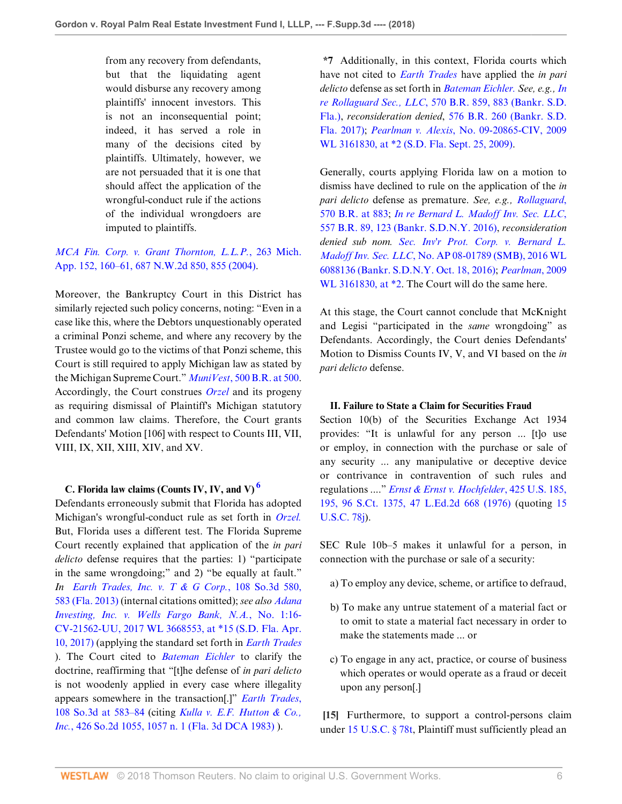from any recovery from defendants, but that the liquidating agent would disburse any recovery among plaintiffs' innocent investors. This is not an inconsequential point; indeed, it has served a role in many of the decisions cited by plaintiffs. Ultimately, however, we are not persuaded that it is one that should affect the application of the wrongful-conduct rule if the actions of the individual wrongdoers are imputed to plaintiffs.

# *[MCA Fin. Corp. v. Grant Thornton, L.L.P.](http://www.westlaw.com/Link/Document/FullText?findType=Y&serNum=2004789906&pubNum=0000595&originatingDoc=Ie0dc0020607311e88808c81b5a222cba&refType=RP&fi=co_pp_sp_595_855&originationContext=document&vr=3.0&rs=cblt1.0&transitionType=DocumentItem&contextData=(sc.Folder*cid.8c6830bd08db4649a123d2eba321c023*oc.Search)#co_pp_sp_595_855)*, 263 Mich. [App. 152, 160–61, 687 N.W.2d 850, 855 \(2004\).](http://www.westlaw.com/Link/Document/FullText?findType=Y&serNum=2004789906&pubNum=0000595&originatingDoc=Ie0dc0020607311e88808c81b5a222cba&refType=RP&fi=co_pp_sp_595_855&originationContext=document&vr=3.0&rs=cblt1.0&transitionType=DocumentItem&contextData=(sc.Folder*cid.8c6830bd08db4649a123d2eba321c023*oc.Search)#co_pp_sp_595_855)

Moreover, the Bankruptcy Court in this District has similarly rejected such policy concerns, noting: "Even in a case like this, where the Debtors unquestionably operated a criminal Ponzi scheme, and where any recovery by the Trustee would go to the victims of that Ponzi scheme, this Court is still required to apply Michigan law as stated by the Michigan Supreme Court." *MuniVest*[, 500 B.R. at 500](http://www.westlaw.com/Link/Document/FullText?findType=Y&serNum=2031779795&pubNum=0000164&originatingDoc=Ie0dc0020607311e88808c81b5a222cba&refType=RP&fi=co_pp_sp_164_500&originationContext=document&vr=3.0&rs=cblt1.0&transitionType=DocumentItem&contextData=(sc.Folder*cid.8c6830bd08db4649a123d2eba321c023*oc.Search)#co_pp_sp_164_500). Accordingly, the Court construes *[Orzel](http://www.westlaw.com/Link/Document/FullText?findType=Y&serNum=1995183776&pubNum=0000542&originatingDoc=Ie0dc0020607311e88808c81b5a222cba&refType=RP&originationContext=document&vr=3.0&rs=cblt1.0&transitionType=DocumentItem&contextData=(sc.Folder*cid.8c6830bd08db4649a123d2eba321c023*oc.Search))* and its progeny as requiring dismissal of Plaintiff's Michigan statutory and common law claims. Therefore, the Court grants Defendants' Motion [106] with respect to Counts III, VII, VIII, IX, XII, XIII, XIV, and XV.

### **C. Florida law claims (Counts IV, IV, and V) [6](#page-9-5)**

Defendants erroneously submit that Florida has adopted Michigan's wrongful-conduct rule as set forth in *[Orzel.](http://www.westlaw.com/Link/Document/FullText?findType=Y&serNum=1995183776&pubNum=0000542&originatingDoc=Ie0dc0020607311e88808c81b5a222cba&refType=RP&originationContext=document&vr=3.0&rs=cblt1.0&transitionType=DocumentItem&contextData=(sc.Folder*cid.8c6830bd08db4649a123d2eba321c023*oc.Search))* But, Florida uses a different test. The Florida Supreme Court recently explained that application of the *in pari delicto* defense requires that the parties: 1) "participate in the same wrongdoing;" and 2) "be equally at fault." *In [Earth Trades, Inc. v. T & G Corp.](http://www.westlaw.com/Link/Document/FullText?findType=Y&serNum=2029715577&pubNum=0003926&originatingDoc=Ie0dc0020607311e88808c81b5a222cba&refType=RP&fi=co_pp_sp_3926_583&originationContext=document&vr=3.0&rs=cblt1.0&transitionType=DocumentItem&contextData=(sc.Folder*cid.8c6830bd08db4649a123d2eba321c023*oc.Search)#co_pp_sp_3926_583)*, 108 So.3d 580, [583 \(Fla. 2013\)](http://www.westlaw.com/Link/Document/FullText?findType=Y&serNum=2029715577&pubNum=0003926&originatingDoc=Ie0dc0020607311e88808c81b5a222cba&refType=RP&fi=co_pp_sp_3926_583&originationContext=document&vr=3.0&rs=cblt1.0&transitionType=DocumentItem&contextData=(sc.Folder*cid.8c6830bd08db4649a123d2eba321c023*oc.Search)#co_pp_sp_3926_583) (internal citations omitted); *see also [Adana](http://www.westlaw.com/Link/Document/FullText?findType=Y&serNum=2042458988&pubNum=0000999&originatingDoc=Ie0dc0020607311e88808c81b5a222cba&refType=RP&originationContext=document&vr=3.0&rs=cblt1.0&transitionType=DocumentItem&contextData=(sc.Folder*cid.8c6830bd08db4649a123d2eba321c023*oc.Search)) [Investing, Inc. v. Wells Fargo Bank, N.A.](http://www.westlaw.com/Link/Document/FullText?findType=Y&serNum=2042458988&pubNum=0000999&originatingDoc=Ie0dc0020607311e88808c81b5a222cba&refType=RP&originationContext=document&vr=3.0&rs=cblt1.0&transitionType=DocumentItem&contextData=(sc.Folder*cid.8c6830bd08db4649a123d2eba321c023*oc.Search))*, No. 1:16- [CV-21562-UU, 2017 WL 3668553, at \\*15 \(S.D. Fla. Apr.](http://www.westlaw.com/Link/Document/FullText?findType=Y&serNum=2042458988&pubNum=0000999&originatingDoc=Ie0dc0020607311e88808c81b5a222cba&refType=RP&originationContext=document&vr=3.0&rs=cblt1.0&transitionType=DocumentItem&contextData=(sc.Folder*cid.8c6830bd08db4649a123d2eba321c023*oc.Search)) [10, 2017\)](http://www.westlaw.com/Link/Document/FullText?findType=Y&serNum=2042458988&pubNum=0000999&originatingDoc=Ie0dc0020607311e88808c81b5a222cba&refType=RP&originationContext=document&vr=3.0&rs=cblt1.0&transitionType=DocumentItem&contextData=(sc.Folder*cid.8c6830bd08db4649a123d2eba321c023*oc.Search)) (applying the standard set forth in *[Earth Trades](http://www.westlaw.com/Link/Document/FullText?findType=Y&serNum=2029715577&pubNum=0003926&originatingDoc=Ie0dc0020607311e88808c81b5a222cba&refType=RP&originationContext=document&vr=3.0&rs=cblt1.0&transitionType=DocumentItem&contextData=(sc.Folder*cid.8c6830bd08db4649a123d2eba321c023*oc.Search))* ). The Court cited to *[Bateman Eichler](http://www.westlaw.com/Link/Document/FullText?findType=Y&serNum=1985129531&pubNum=0000780&originatingDoc=Ie0dc0020607311e88808c81b5a222cba&refType=RP&originationContext=document&vr=3.0&rs=cblt1.0&transitionType=DocumentItem&contextData=(sc.Folder*cid.8c6830bd08db4649a123d2eba321c023*oc.Search))* to clarify the doctrine, reaffirming that "[t]he defense of *in pari delicto* is not woodenly applied in every case where illegality appears somewhere in the transaction[.]" *[Earth Trades](http://www.westlaw.com/Link/Document/FullText?findType=Y&serNum=2029715577&pubNum=0003926&originatingDoc=Ie0dc0020607311e88808c81b5a222cba&refType=RP&fi=co_pp_sp_3926_583&originationContext=document&vr=3.0&rs=cblt1.0&transitionType=DocumentItem&contextData=(sc.Folder*cid.8c6830bd08db4649a123d2eba321c023*oc.Search)#co_pp_sp_3926_583)*, [108 So.3d at 583–84](http://www.westlaw.com/Link/Document/FullText?findType=Y&serNum=2029715577&pubNum=0003926&originatingDoc=Ie0dc0020607311e88808c81b5a222cba&refType=RP&fi=co_pp_sp_3926_583&originationContext=document&vr=3.0&rs=cblt1.0&transitionType=DocumentItem&contextData=(sc.Folder*cid.8c6830bd08db4649a123d2eba321c023*oc.Search)#co_pp_sp_3926_583) (citing *[Kulla v. E.F. Hutton & Co.,](http://www.westlaw.com/Link/Document/FullText?findType=Y&serNum=1983105149&pubNum=0000735&originatingDoc=Ie0dc0020607311e88808c81b5a222cba&refType=RP&fi=co_pp_sp_735_1057&originationContext=document&vr=3.0&rs=cblt1.0&transitionType=DocumentItem&contextData=(sc.Folder*cid.8c6830bd08db4649a123d2eba321c023*oc.Search)#co_pp_sp_735_1057) Inc.*[, 426 So.2d 1055, 1057 n. 1 \(Fla. 3d DCA 1983\)](http://www.westlaw.com/Link/Document/FullText?findType=Y&serNum=1983105149&pubNum=0000735&originatingDoc=Ie0dc0020607311e88808c81b5a222cba&refType=RP&fi=co_pp_sp_735_1057&originationContext=document&vr=3.0&rs=cblt1.0&transitionType=DocumentItem&contextData=(sc.Folder*cid.8c6830bd08db4649a123d2eba321c023*oc.Search)#co_pp_sp_735_1057) ).

**\*7** Additionally, in this context, Florida courts which have not cited to *[Earth Trades](http://www.westlaw.com/Link/Document/FullText?findType=Y&serNum=2029715577&originatingDoc=Ie0dc0020607311e88808c81b5a222cba&refType=RP&originationContext=document&vr=3.0&rs=cblt1.0&transitionType=DocumentItem&contextData=(sc.Folder*cid.8c6830bd08db4649a123d2eba321c023*oc.Search))* have applied the *in pari delicto* defense as set forth in *[Bateman Eichler.](http://www.westlaw.com/Link/Document/FullText?findType=Y&serNum=1985129531&pubNum=0000780&originatingDoc=Ie0dc0020607311e88808c81b5a222cba&refType=RP&originationContext=document&vr=3.0&rs=cblt1.0&transitionType=DocumentItem&contextData=(sc.Folder*cid.8c6830bd08db4649a123d2eba321c023*oc.Search)) See, e.g., [In](http://www.westlaw.com/Link/Document/FullText?findType=Y&serNum=2042261877&pubNum=0000164&originatingDoc=Ie0dc0020607311e88808c81b5a222cba&refType=RP&fi=co_pp_sp_164_883&originationContext=document&vr=3.0&rs=cblt1.0&transitionType=DocumentItem&contextData=(sc.Folder*cid.8c6830bd08db4649a123d2eba321c023*oc.Search)#co_pp_sp_164_883) re Rollaguard Sec., LLC*[, 570 B.R. 859, 883 \(Bankr. S.D.](http://www.westlaw.com/Link/Document/FullText?findType=Y&serNum=2042261877&pubNum=0000164&originatingDoc=Ie0dc0020607311e88808c81b5a222cba&refType=RP&fi=co_pp_sp_164_883&originationContext=document&vr=3.0&rs=cblt1.0&transitionType=DocumentItem&contextData=(sc.Folder*cid.8c6830bd08db4649a123d2eba321c023*oc.Search)#co_pp_sp_164_883) [Fla.\)](http://www.westlaw.com/Link/Document/FullText?findType=Y&serNum=2042261877&pubNum=0000164&originatingDoc=Ie0dc0020607311e88808c81b5a222cba&refType=RP&fi=co_pp_sp_164_883&originationContext=document&vr=3.0&rs=cblt1.0&transitionType=DocumentItem&contextData=(sc.Folder*cid.8c6830bd08db4649a123d2eba321c023*oc.Search)#co_pp_sp_164_883), *reconsideration denied*, [576 B.R. 260 \(Bankr. S.D.](http://www.westlaw.com/Link/Document/FullText?findType=Y&serNum=2043118157&pubNum=0000164&originatingDoc=Ie0dc0020607311e88808c81b5a222cba&refType=RP&originationContext=document&vr=3.0&rs=cblt1.0&transitionType=DocumentItem&contextData=(sc.Folder*cid.8c6830bd08db4649a123d2eba321c023*oc.Search)) [Fla. 2017\);](http://www.westlaw.com/Link/Document/FullText?findType=Y&serNum=2043118157&pubNum=0000164&originatingDoc=Ie0dc0020607311e88808c81b5a222cba&refType=RP&originationContext=document&vr=3.0&rs=cblt1.0&transitionType=DocumentItem&contextData=(sc.Folder*cid.8c6830bd08db4649a123d2eba321c023*oc.Search)) *Pearlman v. Alexis*[, No. 09-20865-CIV, 2009](http://www.westlaw.com/Link/Document/FullText?findType=Y&serNum=2019951136&pubNum=0000999&originatingDoc=Ie0dc0020607311e88808c81b5a222cba&refType=RP&originationContext=document&vr=3.0&rs=cblt1.0&transitionType=DocumentItem&contextData=(sc.Folder*cid.8c6830bd08db4649a123d2eba321c023*oc.Search)) [WL 3161830, at \\*2 \(S.D. Fla. Sept. 25, 2009\).](http://www.westlaw.com/Link/Document/FullText?findType=Y&serNum=2019951136&pubNum=0000999&originatingDoc=Ie0dc0020607311e88808c81b5a222cba&refType=RP&originationContext=document&vr=3.0&rs=cblt1.0&transitionType=DocumentItem&contextData=(sc.Folder*cid.8c6830bd08db4649a123d2eba321c023*oc.Search))

Generally, courts applying Florida law on a motion to dismiss have declined to rule on the application of the *in pari delicto* defense as premature. *See, e.g., [Rollaguard](http://www.westlaw.com/Link/Document/FullText?findType=Y&serNum=2042261877&pubNum=0000164&originatingDoc=Ie0dc0020607311e88808c81b5a222cba&refType=RP&fi=co_pp_sp_164_883&originationContext=document&vr=3.0&rs=cblt1.0&transitionType=DocumentItem&contextData=(sc.Folder*cid.8c6830bd08db4649a123d2eba321c023*oc.Search)#co_pp_sp_164_883)*, [570 B.R. at 883](http://www.westlaw.com/Link/Document/FullText?findType=Y&serNum=2042261877&pubNum=0000164&originatingDoc=Ie0dc0020607311e88808c81b5a222cba&refType=RP&fi=co_pp_sp_164_883&originationContext=document&vr=3.0&rs=cblt1.0&transitionType=DocumentItem&contextData=(sc.Folder*cid.8c6830bd08db4649a123d2eba321c023*oc.Search)#co_pp_sp_164_883); *[In re Bernard L. Madoff Inv. Sec. LLC](http://www.westlaw.com/Link/Document/FullText?findType=Y&serNum=2039457569&pubNum=0000164&originatingDoc=Ie0dc0020607311e88808c81b5a222cba&refType=RP&fi=co_pp_sp_164_123&originationContext=document&vr=3.0&rs=cblt1.0&transitionType=DocumentItem&contextData=(sc.Folder*cid.8c6830bd08db4649a123d2eba321c023*oc.Search)#co_pp_sp_164_123)*, [557 B.R. 89, 123 \(Bankr. S.D.N.Y. 2016\)](http://www.westlaw.com/Link/Document/FullText?findType=Y&serNum=2039457569&pubNum=0000164&originatingDoc=Ie0dc0020607311e88808c81b5a222cba&refType=RP&fi=co_pp_sp_164_123&originationContext=document&vr=3.0&rs=cblt1.0&transitionType=DocumentItem&contextData=(sc.Folder*cid.8c6830bd08db4649a123d2eba321c023*oc.Search)#co_pp_sp_164_123), *reconsideration denied sub nom. [Sec. Inv'r Prot. Corp. v. Bernard L.](http://www.westlaw.com/Link/Document/FullText?findType=Y&serNum=2040124762&pubNum=0000999&originatingDoc=Ie0dc0020607311e88808c81b5a222cba&refType=RP&originationContext=document&vr=3.0&rs=cblt1.0&transitionType=DocumentItem&contextData=(sc.Folder*cid.8c6830bd08db4649a123d2eba321c023*oc.Search)) Madoff Inv. Sec. LLC*[, No. AP 08-01789 \(SMB\), 2016 WL](http://www.westlaw.com/Link/Document/FullText?findType=Y&serNum=2040124762&pubNum=0000999&originatingDoc=Ie0dc0020607311e88808c81b5a222cba&refType=RP&originationContext=document&vr=3.0&rs=cblt1.0&transitionType=DocumentItem&contextData=(sc.Folder*cid.8c6830bd08db4649a123d2eba321c023*oc.Search)) [6088136 \(Bankr. S.D.N.Y. Oct. 18, 2016\);](http://www.westlaw.com/Link/Document/FullText?findType=Y&serNum=2040124762&pubNum=0000999&originatingDoc=Ie0dc0020607311e88808c81b5a222cba&refType=RP&originationContext=document&vr=3.0&rs=cblt1.0&transitionType=DocumentItem&contextData=(sc.Folder*cid.8c6830bd08db4649a123d2eba321c023*oc.Search)) *[Pearlman](http://www.westlaw.com/Link/Document/FullText?findType=Y&serNum=2019951136&pubNum=0000999&originatingDoc=Ie0dc0020607311e88808c81b5a222cba&refType=RP&originationContext=document&vr=3.0&rs=cblt1.0&transitionType=DocumentItem&contextData=(sc.Folder*cid.8c6830bd08db4649a123d2eba321c023*oc.Search))*, 2009 [WL 3161830, at \\*2](http://www.westlaw.com/Link/Document/FullText?findType=Y&serNum=2019951136&pubNum=0000999&originatingDoc=Ie0dc0020607311e88808c81b5a222cba&refType=RP&originationContext=document&vr=3.0&rs=cblt1.0&transitionType=DocumentItem&contextData=(sc.Folder*cid.8c6830bd08db4649a123d2eba321c023*oc.Search)). The Court will do the same here.

At this stage, the Court cannot conclude that McKnight and Legisi "participated in the *same* wrongdoing" as Defendants. Accordingly, the Court denies Defendants' Motion to Dismiss Counts IV, V, and VI based on the *in pari delicto* defense.

### **II. Failure to State a Claim for Securities Fraud**

<span id="page-5-0"></span>Section 10(b) of the Securities Exchange Act 1934 provides: "It is unlawful for any person ... [t]o use or employ, in connection with the purchase or sale of any security ... any manipulative or deceptive device or contrivance in contravention of such rules and regulations ...." *[Ernst & Ernst v. Hochfelder](http://www.westlaw.com/Link/Document/FullText?findType=Y&serNum=1976142348&pubNum=0000708&originatingDoc=Ie0dc0020607311e88808c81b5a222cba&refType=RP&originationContext=document&vr=3.0&rs=cblt1.0&transitionType=DocumentItem&contextData=(sc.Folder*cid.8c6830bd08db4649a123d2eba321c023*oc.Search))*, 425 U.S. 185, [195, 96 S.Ct. 1375, 47 L.Ed.2d 668 \(1976\)](http://www.westlaw.com/Link/Document/FullText?findType=Y&serNum=1976142348&pubNum=0000708&originatingDoc=Ie0dc0020607311e88808c81b5a222cba&refType=RP&originationContext=document&vr=3.0&rs=cblt1.0&transitionType=DocumentItem&contextData=(sc.Folder*cid.8c6830bd08db4649a123d2eba321c023*oc.Search)) (quoting [15](http://www.westlaw.com/Link/Document/FullText?findType=L&pubNum=1000546&cite=15USCAS78J&originatingDoc=Ie0dc0020607311e88808c81b5a222cba&refType=LQ&originationContext=document&vr=3.0&rs=cblt1.0&transitionType=DocumentItem&contextData=(sc.Folder*cid.8c6830bd08db4649a123d2eba321c023*oc.Search)) [U.S.C. 78j](http://www.westlaw.com/Link/Document/FullText?findType=L&pubNum=1000546&cite=15USCAS78J&originatingDoc=Ie0dc0020607311e88808c81b5a222cba&refType=LQ&originationContext=document&vr=3.0&rs=cblt1.0&transitionType=DocumentItem&contextData=(sc.Folder*cid.8c6830bd08db4649a123d2eba321c023*oc.Search))).

SEC Rule 10b–5 makes it unlawful for a person, in connection with the purchase or sale of a security:

- a) To employ any device, scheme, or artifice to defraud,
- b) To make any untrue statement of a material fact or to omit to state a material fact necessary in order to make the statements made ... or
- c) To engage in any act, practice, or course of business which operates or would operate as a fraud or deceit upon any person[.]

**[15]** Furthermore, to support a control-persons claim under [15 U.S.C. § 78t](http://www.westlaw.com/Link/Document/FullText?findType=L&pubNum=1000546&cite=15USCAS78T&originatingDoc=Ie0dc0020607311e88808c81b5a222cba&refType=LQ&originationContext=document&vr=3.0&rs=cblt1.0&transitionType=DocumentItem&contextData=(sc.Folder*cid.8c6830bd08db4649a123d2eba321c023*oc.Search)), Plaintiff must sufficiently plead an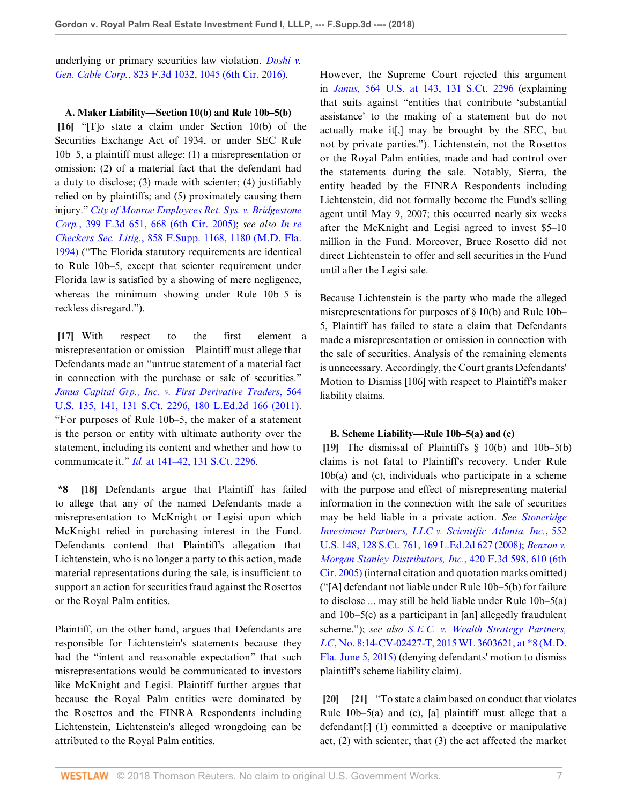underlying or primary securities law violation. *[Doshi v.](http://www.westlaw.com/Link/Document/FullText?findType=Y&serNum=2038920033&pubNum=0000506&originatingDoc=Ie0dc0020607311e88808c81b5a222cba&refType=RP&fi=co_pp_sp_506_1045&originationContext=document&vr=3.0&rs=cblt1.0&transitionType=DocumentItem&contextData=(sc.Folder*cid.8c6830bd08db4649a123d2eba321c023*oc.Search)#co_pp_sp_506_1045) Gen. Cable Corp.*[, 823 F.3d 1032, 1045 \(6th Cir. 2016\)](http://www.westlaw.com/Link/Document/FullText?findType=Y&serNum=2038920033&pubNum=0000506&originatingDoc=Ie0dc0020607311e88808c81b5a222cba&refType=RP&fi=co_pp_sp_506_1045&originationContext=document&vr=3.0&rs=cblt1.0&transitionType=DocumentItem&contextData=(sc.Folder*cid.8c6830bd08db4649a123d2eba321c023*oc.Search)#co_pp_sp_506_1045).

### **A. Maker Liability—Section 10(b) and Rule 10b–5(b)**

**[16]** "[T]o state a claim under Section 10(b) of the Securities Exchange Act of 1934, or under SEC Rule 10b–5, a plaintiff must allege: (1) a misrepresentation or omission; (2) of a material fact that the defendant had a duty to disclose; (3) made with scienter; (4) justifiably relied on by plaintiffs; and (5) proximately causing them injury." *[City of Monroe Employees Ret. Sys. v. Bridgestone](http://www.westlaw.com/Link/Document/FullText?findType=Y&serNum=2006184445&pubNum=0000506&originatingDoc=Ie0dc0020607311e88808c81b5a222cba&refType=RP&fi=co_pp_sp_506_668&originationContext=document&vr=3.0&rs=cblt1.0&transitionType=DocumentItem&contextData=(sc.Folder*cid.8c6830bd08db4649a123d2eba321c023*oc.Search)#co_pp_sp_506_668) Corp.*[, 399 F.3d 651, 668 \(6th Cir. 2005\)](http://www.westlaw.com/Link/Document/FullText?findType=Y&serNum=2006184445&pubNum=0000506&originatingDoc=Ie0dc0020607311e88808c81b5a222cba&refType=RP&fi=co_pp_sp_506_668&originationContext=document&vr=3.0&rs=cblt1.0&transitionType=DocumentItem&contextData=(sc.Folder*cid.8c6830bd08db4649a123d2eba321c023*oc.Search)#co_pp_sp_506_668); *see also [In re](http://www.westlaw.com/Link/Document/FullText?findType=Y&serNum=1994153917&pubNum=0000345&originatingDoc=Ie0dc0020607311e88808c81b5a222cba&refType=RP&fi=co_pp_sp_345_1180&originationContext=document&vr=3.0&rs=cblt1.0&transitionType=DocumentItem&contextData=(sc.Folder*cid.8c6830bd08db4649a123d2eba321c023*oc.Search)#co_pp_sp_345_1180) Checkers Sec. Litig.*[, 858 F.Supp. 1168, 1180 \(M.D. Fla.](http://www.westlaw.com/Link/Document/FullText?findType=Y&serNum=1994153917&pubNum=0000345&originatingDoc=Ie0dc0020607311e88808c81b5a222cba&refType=RP&fi=co_pp_sp_345_1180&originationContext=document&vr=3.0&rs=cblt1.0&transitionType=DocumentItem&contextData=(sc.Folder*cid.8c6830bd08db4649a123d2eba321c023*oc.Search)#co_pp_sp_345_1180) [1994\)](http://www.westlaw.com/Link/Document/FullText?findType=Y&serNum=1994153917&pubNum=0000345&originatingDoc=Ie0dc0020607311e88808c81b5a222cba&refType=RP&fi=co_pp_sp_345_1180&originationContext=document&vr=3.0&rs=cblt1.0&transitionType=DocumentItem&contextData=(sc.Folder*cid.8c6830bd08db4649a123d2eba321c023*oc.Search)#co_pp_sp_345_1180) ("The Florida statutory requirements are identical to Rule 10b–5, except that scienter requirement under Florida law is satisfied by a showing of mere negligence, whereas the minimum showing under Rule 10b–5 is reckless disregard.").

**[17]** With respect to the first element—a misrepresentation or omission—Plaintiff must allege that Defendants made an "untrue statement of a material fact in connection with the purchase or sale of securities." *[Janus Capital Grp., Inc. v. First Derivative Traders](http://www.westlaw.com/Link/Document/FullText?findType=Y&serNum=2025477155&pubNum=0000708&originatingDoc=Ie0dc0020607311e88808c81b5a222cba&refType=RP&originationContext=document&vr=3.0&rs=cblt1.0&transitionType=DocumentItem&contextData=(sc.Folder*cid.8c6830bd08db4649a123d2eba321c023*oc.Search))*, 564 [U.S. 135, 141, 131 S.Ct. 2296, 180 L.Ed.2d 166 \(2011\)](http://www.westlaw.com/Link/Document/FullText?findType=Y&serNum=2025477155&pubNum=0000708&originatingDoc=Ie0dc0020607311e88808c81b5a222cba&refType=RP&originationContext=document&vr=3.0&rs=cblt1.0&transitionType=DocumentItem&contextData=(sc.Folder*cid.8c6830bd08db4649a123d2eba321c023*oc.Search)). "For purposes of Rule 10b–5, the maker of a statement is the person or entity with ultimate authority over the statement, including its content and whether and how to communicate it." *Id.* [at 141–42, 131 S.Ct. 2296.](http://www.westlaw.com/Link/Document/FullText?findType=Y&serNum=2025477155&pubNum=0000708&originatingDoc=Ie0dc0020607311e88808c81b5a222cba&refType=RP&originationContext=document&vr=3.0&rs=cblt1.0&transitionType=DocumentItem&contextData=(sc.Folder*cid.8c6830bd08db4649a123d2eba321c023*oc.Search))

**\*8 [18]** Defendants argue that Plaintiff has failed to allege that any of the named Defendants made a misrepresentation to McKnight or Legisi upon which McKnight relied in purchasing interest in the Fund. Defendants contend that Plaintiff's allegation that Lichtenstein, who is no longer a party to this action, made material representations during the sale, is insufficient to support an action for securities fraud against the Rosettos or the Royal Palm entities.

Plaintiff, on the other hand, argues that Defendants are responsible for Lichtenstein's statements because they had the "intent and reasonable expectation" that such misrepresentations would be communicated to investors like McKnight and Legisi. Plaintiff further argues that because the Royal Palm entities were dominated by the Rosettos and the FINRA Respondents including Lichtenstein, Lichtenstein's alleged wrongdoing can be attributed to the Royal Palm entities.

However, the Supreme Court rejected this argument in *Janus,* [564 U.S. at 143, 131 S.Ct. 2296](http://www.westlaw.com/Link/Document/FullText?findType=Y&serNum=2025477155&pubNum=0000708&originatingDoc=Ie0dc0020607311e88808c81b5a222cba&refType=RP&originationContext=document&vr=3.0&rs=cblt1.0&transitionType=DocumentItem&contextData=(sc.Folder*cid.8c6830bd08db4649a123d2eba321c023*oc.Search)) (explaining that suits against "entities that contribute 'substantial assistance' to the making of a statement but do not actually make it[,] may be brought by the SEC, but not by private parties."). Lichtenstein, not the Rosettos or the Royal Palm entities, made and had control over the statements during the sale. Notably, Sierra, the entity headed by the FINRA Respondents including Lichtenstein, did not formally become the Fund's selling agent until May 9, 2007; this occurred nearly six weeks after the McKnight and Legisi agreed to invest \$5–10 million in the Fund. Moreover, Bruce Rosetto did not direct Lichtenstein to offer and sell securities in the Fund until after the Legisi sale.

Because Lichtenstein is the party who made the alleged misrepresentations for purposes of § 10(b) and Rule 10b– 5, Plaintiff has failed to state a claim that Defendants made a misrepresentation or omission in connection with the sale of securities. Analysis of the remaining elements is unnecessary. Accordingly, the Court grants Defendants' Motion to Dismiss [106] with respect to Plaintiff's maker liability claims.

### **B. Scheme Liability—Rule 10b–5(a) and (c)**

**[19]** The dismissal of Plaintiff's § 10(b) and 10b–5(b) claims is not fatal to Plaintiff's recovery. Under Rule 10b(a) and (c), individuals who participate in a scheme with the purpose and effect of misrepresenting material information in the connection with the sale of securities may be held liable in a private action. *See [Stoneridge](http://www.westlaw.com/Link/Document/FullText?findType=Y&serNum=2014711511&pubNum=0000708&originatingDoc=Ie0dc0020607311e88808c81b5a222cba&refType=RP&originationContext=document&vr=3.0&rs=cblt1.0&transitionType=DocumentItem&contextData=(sc.Folder*cid.8c6830bd08db4649a123d2eba321c023*oc.Search)) [Investment Partners, LLC v. Scientific–Atlanta, Inc.](http://www.westlaw.com/Link/Document/FullText?findType=Y&serNum=2014711511&pubNum=0000708&originatingDoc=Ie0dc0020607311e88808c81b5a222cba&refType=RP&originationContext=document&vr=3.0&rs=cblt1.0&transitionType=DocumentItem&contextData=(sc.Folder*cid.8c6830bd08db4649a123d2eba321c023*oc.Search))*, 552 [U.S. 148, 128 S.Ct. 761, 169 L.Ed.2d 627 \(2008\);](http://www.westlaw.com/Link/Document/FullText?findType=Y&serNum=2014711511&pubNum=0000708&originatingDoc=Ie0dc0020607311e88808c81b5a222cba&refType=RP&originationContext=document&vr=3.0&rs=cblt1.0&transitionType=DocumentItem&contextData=(sc.Folder*cid.8c6830bd08db4649a123d2eba321c023*oc.Search)) *[Benzon v.](http://www.westlaw.com/Link/Document/FullText?findType=Y&serNum=2007169640&pubNum=0000506&originatingDoc=Ie0dc0020607311e88808c81b5a222cba&refType=RP&fi=co_pp_sp_506_610&originationContext=document&vr=3.0&rs=cblt1.0&transitionType=DocumentItem&contextData=(sc.Folder*cid.8c6830bd08db4649a123d2eba321c023*oc.Search)#co_pp_sp_506_610) [Morgan Stanley Distributors, Inc.](http://www.westlaw.com/Link/Document/FullText?findType=Y&serNum=2007169640&pubNum=0000506&originatingDoc=Ie0dc0020607311e88808c81b5a222cba&refType=RP&fi=co_pp_sp_506_610&originationContext=document&vr=3.0&rs=cblt1.0&transitionType=DocumentItem&contextData=(sc.Folder*cid.8c6830bd08db4649a123d2eba321c023*oc.Search)#co_pp_sp_506_610)*, 420 F.3d 598, 610 (6th [Cir. 2005\)](http://www.westlaw.com/Link/Document/FullText?findType=Y&serNum=2007169640&pubNum=0000506&originatingDoc=Ie0dc0020607311e88808c81b5a222cba&refType=RP&fi=co_pp_sp_506_610&originationContext=document&vr=3.0&rs=cblt1.0&transitionType=DocumentItem&contextData=(sc.Folder*cid.8c6830bd08db4649a123d2eba321c023*oc.Search)#co_pp_sp_506_610) (internal citation and quotation marks omitted) ("[A] defendant not liable under Rule 10b–5(b) for failure to disclose ... may still be held liable under Rule 10b–5(a) and 10b–5(c) as a participant in [an] allegedly fraudulent scheme."); *see also [S.E.C. v. Wealth Strategy Partners,](http://www.westlaw.com/Link/Document/FullText?findType=Y&serNum=2036428740&pubNum=0000999&originatingDoc=Ie0dc0020607311e88808c81b5a222cba&refType=RP&originationContext=document&vr=3.0&rs=cblt1.0&transitionType=DocumentItem&contextData=(sc.Folder*cid.8c6830bd08db4649a123d2eba321c023*oc.Search)) LC*[, No. 8:14-CV-02427-T, 2015 WL 3603621, at \\*8 \(M.D.](http://www.westlaw.com/Link/Document/FullText?findType=Y&serNum=2036428740&pubNum=0000999&originatingDoc=Ie0dc0020607311e88808c81b5a222cba&refType=RP&originationContext=document&vr=3.0&rs=cblt1.0&transitionType=DocumentItem&contextData=(sc.Folder*cid.8c6830bd08db4649a123d2eba321c023*oc.Search)) [Fla. June 5, 2015\)](http://www.westlaw.com/Link/Document/FullText?findType=Y&serNum=2036428740&pubNum=0000999&originatingDoc=Ie0dc0020607311e88808c81b5a222cba&refType=RP&originationContext=document&vr=3.0&rs=cblt1.0&transitionType=DocumentItem&contextData=(sc.Folder*cid.8c6830bd08db4649a123d2eba321c023*oc.Search)) (denying defendants' motion to dismiss plaintiff's scheme liability claim).

**[20] [21]** "To state a claim based on conduct that violates Rule 10b–5(a) and (c), [a] plaintiff must allege that a defendant[:] (1) committed a deceptive or manipulative act, (2) with scienter, that (3) the act affected the market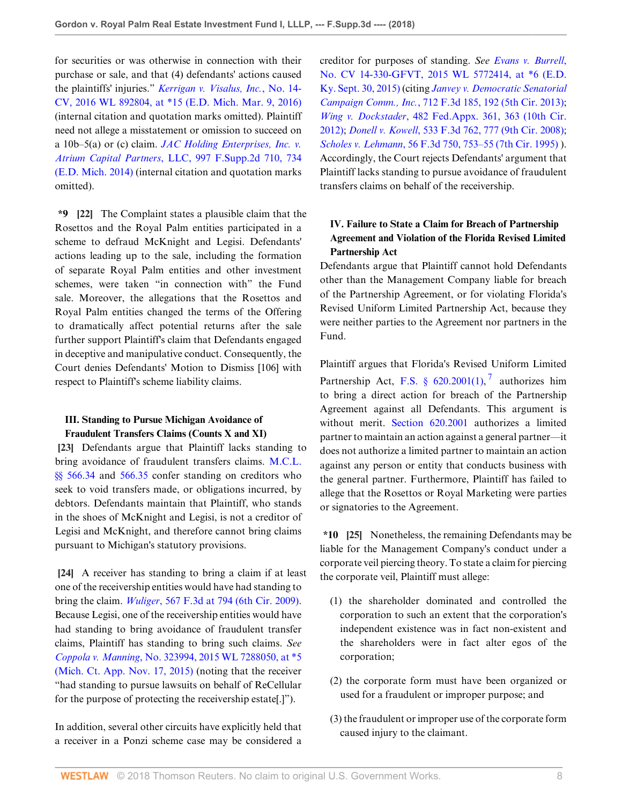for securities or was otherwise in connection with their purchase or sale, and that (4) defendants' actions caused the plaintiffs' injuries." *[Kerrigan v. Visalus, Inc.](http://www.westlaw.com/Link/Document/FullText?findType=Y&serNum=2038434071&pubNum=0000999&originatingDoc=Ie0dc0020607311e88808c81b5a222cba&refType=RP&originationContext=document&vr=3.0&rs=cblt1.0&transitionType=DocumentItem&contextData=(sc.Folder*cid.8c6830bd08db4649a123d2eba321c023*oc.Search))*, No. 14- [CV, 2016 WL 892804, at \\*15 \(E.D. Mich. Mar. 9, 2016\)](http://www.westlaw.com/Link/Document/FullText?findType=Y&serNum=2038434071&pubNum=0000999&originatingDoc=Ie0dc0020607311e88808c81b5a222cba&refType=RP&originationContext=document&vr=3.0&rs=cblt1.0&transitionType=DocumentItem&contextData=(sc.Folder*cid.8c6830bd08db4649a123d2eba321c023*oc.Search)) (internal citation and quotation marks omitted). Plaintiff need not allege a misstatement or omission to succeed on a 10b–5(a) or (c) claim. *[JAC Holding Enterprises, Inc. v.](http://www.westlaw.com/Link/Document/FullText?findType=Y&serNum=2032755257&pubNum=0004637&originatingDoc=Ie0dc0020607311e88808c81b5a222cba&refType=RP&fi=co_pp_sp_4637_734&originationContext=document&vr=3.0&rs=cblt1.0&transitionType=DocumentItem&contextData=(sc.Folder*cid.8c6830bd08db4649a123d2eba321c023*oc.Search)#co_pp_sp_4637_734) Atrium Capital Partners*[, LLC, 997 F.Supp.2d 710, 734](http://www.westlaw.com/Link/Document/FullText?findType=Y&serNum=2032755257&pubNum=0004637&originatingDoc=Ie0dc0020607311e88808c81b5a222cba&refType=RP&fi=co_pp_sp_4637_734&originationContext=document&vr=3.0&rs=cblt1.0&transitionType=DocumentItem&contextData=(sc.Folder*cid.8c6830bd08db4649a123d2eba321c023*oc.Search)#co_pp_sp_4637_734) [\(E.D. Mich. 2014\)](http://www.westlaw.com/Link/Document/FullText?findType=Y&serNum=2032755257&pubNum=0004637&originatingDoc=Ie0dc0020607311e88808c81b5a222cba&refType=RP&fi=co_pp_sp_4637_734&originationContext=document&vr=3.0&rs=cblt1.0&transitionType=DocumentItem&contextData=(sc.Folder*cid.8c6830bd08db4649a123d2eba321c023*oc.Search)#co_pp_sp_4637_734) (internal citation and quotation marks omitted).

**\*9 [22]** The Complaint states a plausible claim that the Rosettos and the Royal Palm entities participated in a scheme to defraud McKnight and Legisi. Defendants' actions leading up to the sale, including the formation of separate Royal Palm entities and other investment schemes, were taken "in connection with" the Fund sale. Moreover, the allegations that the Rosettos and Royal Palm entities changed the terms of the Offering to dramatically affect potential returns after the sale further support Plaintiff's claim that Defendants engaged in deceptive and manipulative conduct. Consequently, the Court denies Defendants' Motion to Dismiss [106] with respect to Plaintiff's scheme liability claims.

## **III. Standing to Pursue Michigan Avoidance of Fraudulent Transfers Claims (Counts X and XI)**

**[23]** Defendants argue that Plaintiff lacks standing to bring avoidance of fraudulent transfers claims. [M.C.L.](http://www.westlaw.com/Link/Document/FullText?findType=L&pubNum=1000043&cite=MIST566.34&originatingDoc=Ie0dc0020607311e88808c81b5a222cba&refType=LQ&originationContext=document&vr=3.0&rs=cblt1.0&transitionType=DocumentItem&contextData=(sc.Folder*cid.8c6830bd08db4649a123d2eba321c023*oc.Search)) [§§ 566.34](http://www.westlaw.com/Link/Document/FullText?findType=L&pubNum=1000043&cite=MIST566.34&originatingDoc=Ie0dc0020607311e88808c81b5a222cba&refType=LQ&originationContext=document&vr=3.0&rs=cblt1.0&transitionType=DocumentItem&contextData=(sc.Folder*cid.8c6830bd08db4649a123d2eba321c023*oc.Search)) and [566.35](http://www.westlaw.com/Link/Document/FullText?findType=L&pubNum=1000043&cite=MIST566.35&originatingDoc=Ie0dc0020607311e88808c81b5a222cba&refType=LQ&originationContext=document&vr=3.0&rs=cblt1.0&transitionType=DocumentItem&contextData=(sc.Folder*cid.8c6830bd08db4649a123d2eba321c023*oc.Search)) confer standing on creditors who seek to void transfers made, or obligations incurred, by debtors. Defendants maintain that Plaintiff, who stands in the shoes of McKnight and Legisi, is not a creditor of Legisi and McKnight, and therefore cannot bring claims pursuant to Michigan's statutory provisions.

**[24]** A receiver has standing to bring a claim if at least one of the receivership entities would have had standing to bring the claim. *Wuliger*[, 567 F.3d at 794 \(6th Cir. 2009\)](http://www.westlaw.com/Link/Document/FullText?findType=Y&serNum=2018924537&pubNum=0000506&originatingDoc=Ie0dc0020607311e88808c81b5a222cba&refType=RP&fi=co_pp_sp_506_794&originationContext=document&vr=3.0&rs=cblt1.0&transitionType=DocumentItem&contextData=(sc.Folder*cid.8c6830bd08db4649a123d2eba321c023*oc.Search)#co_pp_sp_506_794). Because Legisi, one of the receivership entities would have had standing to bring avoidance of fraudulent transfer claims, Plaintiff has standing to bring such claims. *See Coppola v. Manning*[, No. 323994, 2015 WL 7288050, at \\*5](http://www.westlaw.com/Link/Document/FullText?findType=Y&serNum=2037625880&pubNum=0000999&originatingDoc=Ie0dc0020607311e88808c81b5a222cba&refType=RP&originationContext=document&vr=3.0&rs=cblt1.0&transitionType=DocumentItem&contextData=(sc.Folder*cid.8c6830bd08db4649a123d2eba321c023*oc.Search)) [\(Mich. Ct. App. Nov. 17, 2015\)](http://www.westlaw.com/Link/Document/FullText?findType=Y&serNum=2037625880&pubNum=0000999&originatingDoc=Ie0dc0020607311e88808c81b5a222cba&refType=RP&originationContext=document&vr=3.0&rs=cblt1.0&transitionType=DocumentItem&contextData=(sc.Folder*cid.8c6830bd08db4649a123d2eba321c023*oc.Search)) (noting that the receiver "had standing to pursue lawsuits on behalf of ReCellular for the purpose of protecting the receivership estate[.]").

In addition, several other circuits have explicitly held that a receiver in a Ponzi scheme case may be considered a creditor for purposes of standing. *See [Evans v. Burrell](http://www.westlaw.com/Link/Document/FullText?findType=Y&serNum=2037305018&pubNum=0000999&originatingDoc=Ie0dc0020607311e88808c81b5a222cba&refType=RP&originationContext=document&vr=3.0&rs=cblt1.0&transitionType=DocumentItem&contextData=(sc.Folder*cid.8c6830bd08db4649a123d2eba321c023*oc.Search))*, [No. CV 14-330-GFVT, 2015 WL 5772414, at \\*6 \(E.D.](http://www.westlaw.com/Link/Document/FullText?findType=Y&serNum=2037305018&pubNum=0000999&originatingDoc=Ie0dc0020607311e88808c81b5a222cba&refType=RP&originationContext=document&vr=3.0&rs=cblt1.0&transitionType=DocumentItem&contextData=(sc.Folder*cid.8c6830bd08db4649a123d2eba321c023*oc.Search)) [Ky. Sept. 30, 2015\)](http://www.westlaw.com/Link/Document/FullText?findType=Y&serNum=2037305018&pubNum=0000999&originatingDoc=Ie0dc0020607311e88808c81b5a222cba&refType=RP&originationContext=document&vr=3.0&rs=cblt1.0&transitionType=DocumentItem&contextData=(sc.Folder*cid.8c6830bd08db4649a123d2eba321c023*oc.Search)) (citing *[Janvey v. Democratic Senatorial](http://www.westlaw.com/Link/Document/FullText?findType=Y&serNum=2030157621&pubNum=0000506&originatingDoc=Ie0dc0020607311e88808c81b5a222cba&refType=RP&fi=co_pp_sp_506_192&originationContext=document&vr=3.0&rs=cblt1.0&transitionType=DocumentItem&contextData=(sc.Folder*cid.8c6830bd08db4649a123d2eba321c023*oc.Search)#co_pp_sp_506_192) Campaign Comm., Inc.*[, 712 F.3d 185, 192 \(5th Cir. 2013\)](http://www.westlaw.com/Link/Document/FullText?findType=Y&serNum=2030157621&pubNum=0000506&originatingDoc=Ie0dc0020607311e88808c81b5a222cba&refType=RP&fi=co_pp_sp_506_192&originationContext=document&vr=3.0&rs=cblt1.0&transitionType=DocumentItem&contextData=(sc.Folder*cid.8c6830bd08db4649a123d2eba321c023*oc.Search)#co_pp_sp_506_192); *Wing v. Dockstader*[, 482 Fed.Appx. 361, 363 \(10th Cir.](http://www.westlaw.com/Link/Document/FullText?findType=Y&serNum=2027848763&pubNum=0006538&originatingDoc=Ie0dc0020607311e88808c81b5a222cba&refType=RP&fi=co_pp_sp_6538_363&originationContext=document&vr=3.0&rs=cblt1.0&transitionType=DocumentItem&contextData=(sc.Folder*cid.8c6830bd08db4649a123d2eba321c023*oc.Search)#co_pp_sp_6538_363) [2012\)](http://www.westlaw.com/Link/Document/FullText?findType=Y&serNum=2027848763&pubNum=0006538&originatingDoc=Ie0dc0020607311e88808c81b5a222cba&refType=RP&fi=co_pp_sp_6538_363&originationContext=document&vr=3.0&rs=cblt1.0&transitionType=DocumentItem&contextData=(sc.Folder*cid.8c6830bd08db4649a123d2eba321c023*oc.Search)#co_pp_sp_6538_363); *Donell v. Kowell*[, 533 F.3d 762, 777 \(9th Cir. 2008\)](http://www.westlaw.com/Link/Document/FullText?findType=Y&serNum=2016432754&pubNum=0000506&originatingDoc=Ie0dc0020607311e88808c81b5a222cba&refType=RP&fi=co_pp_sp_506_777&originationContext=document&vr=3.0&rs=cblt1.0&transitionType=DocumentItem&contextData=(sc.Folder*cid.8c6830bd08db4649a123d2eba321c023*oc.Search)#co_pp_sp_506_777); *Scholes v. Lehmann*[, 56 F.3d 750, 753–55 \(7th Cir. 1995\)](http://www.westlaw.com/Link/Document/FullText?findType=Y&serNum=1995112332&pubNum=0000506&originatingDoc=Ie0dc0020607311e88808c81b5a222cba&refType=RP&fi=co_pp_sp_506_753&originationContext=document&vr=3.0&rs=cblt1.0&transitionType=DocumentItem&contextData=(sc.Folder*cid.8c6830bd08db4649a123d2eba321c023*oc.Search)#co_pp_sp_506_753) ). Accordingly, the Court rejects Defendants' argument that Plaintiff lacks standing to pursue avoidance of fraudulent transfers claims on behalf of the receivership.

# **IV. Failure to State a Claim for Breach of Partnership Agreement and Violation of the Florida Revised Limited Partnership Act**

Defendants argue that Plaintiff cannot hold Defendants other than the Management Company liable for breach of the Partnership Agreement, or for violating Florida's Revised Uniform Limited Partnership Act, because they were neither parties to the Agreement nor partners in the Fund.

<span id="page-7-0"></span>Plaintiff argues that Florida's Revised Uniform Limited Partnership Act, F.S. §  $620.2001(1)$ ,<sup>[7](#page-10-0)</sup> authorizes him to bring a direct action for breach of the Partnership Agreement against all Defendants. This argument is without merit. [Section 620.2001](http://www.westlaw.com/Link/Document/FullText?findType=L&pubNum=1000006&cite=FLSTS620.2001&originatingDoc=Ie0dc0020607311e88808c81b5a222cba&refType=LQ&originationContext=document&vr=3.0&rs=cblt1.0&transitionType=DocumentItem&contextData=(sc.Folder*cid.8c6830bd08db4649a123d2eba321c023*oc.Search)) authorizes a limited partner to maintain an action against a general partner—it does not authorize a limited partner to maintain an action against any person or entity that conducts business with the general partner. Furthermore, Plaintiff has failed to allege that the Rosettos or Royal Marketing were parties or signatories to the Agreement.

**\*10 [25]** Nonetheless, the remaining Defendants may be liable for the Management Company's conduct under a corporate veil piercing theory. To state a claim for piercing the corporate veil, Plaintiff must allege:

- (1) the shareholder dominated and controlled the corporation to such an extent that the corporation's independent existence was in fact non-existent and the shareholders were in fact alter egos of the corporation;
- (2) the corporate form must have been organized or used for a fraudulent or improper purpose; and
- (3) the fraudulent or improper use of the corporate form caused injury to the claimant.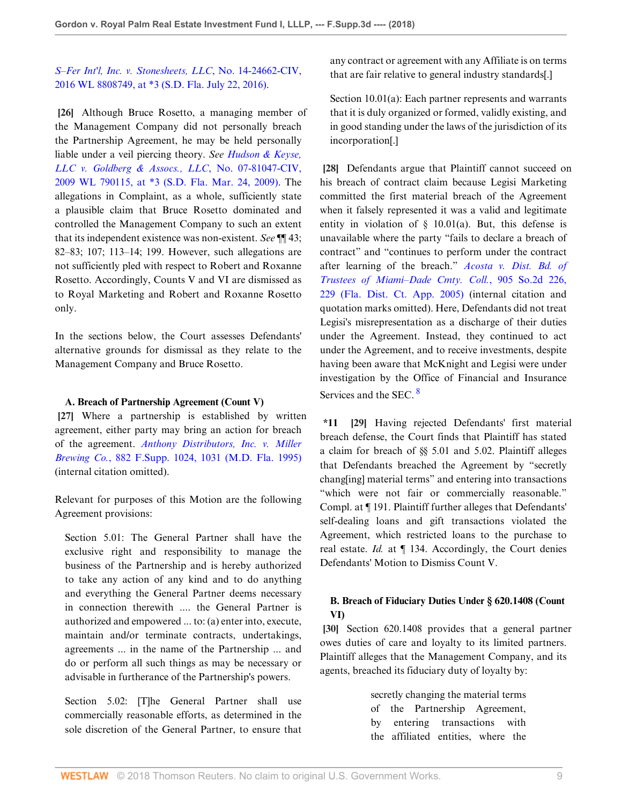# *[S–Fer Int'l, Inc. v. Stonesheets, LLC](http://www.westlaw.com/Link/Document/FullText?findType=Y&serNum=2041525545&pubNum=0000999&originatingDoc=Ie0dc0020607311e88808c81b5a222cba&refType=RP&originationContext=document&vr=3.0&rs=cblt1.0&transitionType=DocumentItem&contextData=(sc.Folder*cid.8c6830bd08db4649a123d2eba321c023*oc.Search))*, No. 14-24662-CIV, [2016 WL 8808749, at \\*3 \(S.D. Fla. July 22, 2016\)](http://www.westlaw.com/Link/Document/FullText?findType=Y&serNum=2041525545&pubNum=0000999&originatingDoc=Ie0dc0020607311e88808c81b5a222cba&refType=RP&originationContext=document&vr=3.0&rs=cblt1.0&transitionType=DocumentItem&contextData=(sc.Folder*cid.8c6830bd08db4649a123d2eba321c023*oc.Search)).

**[26]** Although Bruce Rosetto, a managing member of the Management Company did not personally breach the Partnership Agreement, he may be held personally liable under a veil piercing theory. *See [Hudson & Keyse,](http://www.westlaw.com/Link/Document/FullText?findType=Y&serNum=2018483600&pubNum=0000999&originatingDoc=Ie0dc0020607311e88808c81b5a222cba&refType=RP&originationContext=document&vr=3.0&rs=cblt1.0&transitionType=DocumentItem&contextData=(sc.Folder*cid.8c6830bd08db4649a123d2eba321c023*oc.Search)) [LLC v. Goldberg & Assocs., LLC](http://www.westlaw.com/Link/Document/FullText?findType=Y&serNum=2018483600&pubNum=0000999&originatingDoc=Ie0dc0020607311e88808c81b5a222cba&refType=RP&originationContext=document&vr=3.0&rs=cblt1.0&transitionType=DocumentItem&contextData=(sc.Folder*cid.8c6830bd08db4649a123d2eba321c023*oc.Search))*, No. 07-81047-CIV, [2009 WL 790115, at \\*3 \(S.D. Fla. Mar. 24, 2009\).](http://www.westlaw.com/Link/Document/FullText?findType=Y&serNum=2018483600&pubNum=0000999&originatingDoc=Ie0dc0020607311e88808c81b5a222cba&refType=RP&originationContext=document&vr=3.0&rs=cblt1.0&transitionType=DocumentItem&contextData=(sc.Folder*cid.8c6830bd08db4649a123d2eba321c023*oc.Search)) The allegations in Complaint, as a whole, sufficiently state a plausible claim that Bruce Rosetto dominated and controlled the Management Company to such an extent that its independent existence was non-existent. *See* ¶¶ 43; 82–83; 107; 113–14; 199. However, such allegations are not sufficiently pled with respect to Robert and Roxanne Rosetto. Accordingly, Counts V and VI are dismissed as to Royal Marketing and Robert and Roxanne Rosetto only.

In the sections below, the Court assesses Defendants' alternative grounds for dismissal as they relate to the Management Company and Bruce Rosetto.

### **A. Breach of Partnership Agreement (Count V)**

**[27]** Where a partnership is established by written agreement, either party may bring an action for breach of the agreement. *[Anthony Distributors, Inc. v. Miller](http://www.westlaw.com/Link/Document/FullText?findType=Y&serNum=1995090397&pubNum=0000345&originatingDoc=Ie0dc0020607311e88808c81b5a222cba&refType=RP&fi=co_pp_sp_345_1031&originationContext=document&vr=3.0&rs=cblt1.0&transitionType=DocumentItem&contextData=(sc.Folder*cid.8c6830bd08db4649a123d2eba321c023*oc.Search)#co_pp_sp_345_1031) Brewing Co.*[, 882 F.Supp. 1024, 1031 \(M.D. Fla. 1995\)](http://www.westlaw.com/Link/Document/FullText?findType=Y&serNum=1995090397&pubNum=0000345&originatingDoc=Ie0dc0020607311e88808c81b5a222cba&refType=RP&fi=co_pp_sp_345_1031&originationContext=document&vr=3.0&rs=cblt1.0&transitionType=DocumentItem&contextData=(sc.Folder*cid.8c6830bd08db4649a123d2eba321c023*oc.Search)#co_pp_sp_345_1031) (internal citation omitted).

Relevant for purposes of this Motion are the following Agreement provisions:

Section 5.01: The General Partner shall have the exclusive right and responsibility to manage the business of the Partnership and is hereby authorized to take any action of any kind and to do anything and everything the General Partner deems necessary in connection therewith .... the General Partner is authorized and empowered ... to: (a) enter into, execute, maintain and/or terminate contracts, undertakings, agreements ... in the name of the Partnership ... and do or perform all such things as may be necessary or advisable in furtherance of the Partnership's powers.

Section 5.02: [T]he General Partner shall use commercially reasonable efforts, as determined in the sole discretion of the General Partner, to ensure that any contract or agreement with any Affiliate is on terms that are fair relative to general industry standards[.]

Section 10.01(a): Each partner represents and warrants that it is duly organized or formed, validly existing, and in good standing under the laws of the jurisdiction of its incorporation[.]

**[28]** Defendants argue that Plaintiff cannot succeed on his breach of contract claim because Legisi Marketing committed the first material breach of the Agreement when it falsely represented it was a valid and legitimate entity in violation of  $\S$  10.01(a). But, this defense is unavailable where the party "fails to declare a breach of contract" and "continues to perform under the contract after learning of the breach." *[Acosta v. Dist. Bd. of](http://www.westlaw.com/Link/Document/FullText?findType=Y&serNum=2006660729&pubNum=0000735&originatingDoc=Ie0dc0020607311e88808c81b5a222cba&refType=RP&fi=co_pp_sp_735_229&originationContext=document&vr=3.0&rs=cblt1.0&transitionType=DocumentItem&contextData=(sc.Folder*cid.8c6830bd08db4649a123d2eba321c023*oc.Search)#co_pp_sp_735_229) [Trustees of Miami–Dade Cmty. Coll.](http://www.westlaw.com/Link/Document/FullText?findType=Y&serNum=2006660729&pubNum=0000735&originatingDoc=Ie0dc0020607311e88808c81b5a222cba&refType=RP&fi=co_pp_sp_735_229&originationContext=document&vr=3.0&rs=cblt1.0&transitionType=DocumentItem&contextData=(sc.Folder*cid.8c6830bd08db4649a123d2eba321c023*oc.Search)#co_pp_sp_735_229)*, 905 So.2d 226, [229 \(Fla. Dist. Ct. App. 2005\)](http://www.westlaw.com/Link/Document/FullText?findType=Y&serNum=2006660729&pubNum=0000735&originatingDoc=Ie0dc0020607311e88808c81b5a222cba&refType=RP&fi=co_pp_sp_735_229&originationContext=document&vr=3.0&rs=cblt1.0&transitionType=DocumentItem&contextData=(sc.Folder*cid.8c6830bd08db4649a123d2eba321c023*oc.Search)#co_pp_sp_735_229) (internal citation and quotation marks omitted). Here, Defendants did not treat Legisi's misrepresentation as a discharge of their duties under the Agreement. Instead, they continued to act under the Agreement, and to receive investments, despite having been aware that McKnight and Legisi were under investigation by the Office of Financial and Insurance Services and the SEC.<sup>[8](#page-10-1)</sup>

<span id="page-8-0"></span>**\*11 [29]** Having rejected Defendants' first material breach defense, the Court finds that Plaintiff has stated a claim for breach of §§ 5.01 and 5.02. Plaintiff alleges that Defendants breached the Agreement by "secretly chang[ing] material terms" and entering into transactions "which were not fair or commercially reasonable." Compl. at ¶ 191. Plaintiff further alleges that Defendants' self-dealing loans and gift transactions violated the Agreement, which restricted loans to the purchase to real estate. *Id.* at ¶ 134. Accordingly, the Court denies Defendants' Motion to Dismiss Count V.

# **B. Breach of Fiduciary Duties Under § 620.1408 (Count VI)**

**[30]** Section 620.1408 provides that a general partner owes duties of care and loyalty to its limited partners. Plaintiff alleges that the Management Company, and its agents, breached its fiduciary duty of loyalty by:

> secretly changing the material terms of the Partnership Agreement, by entering transactions with the affiliated entities, where the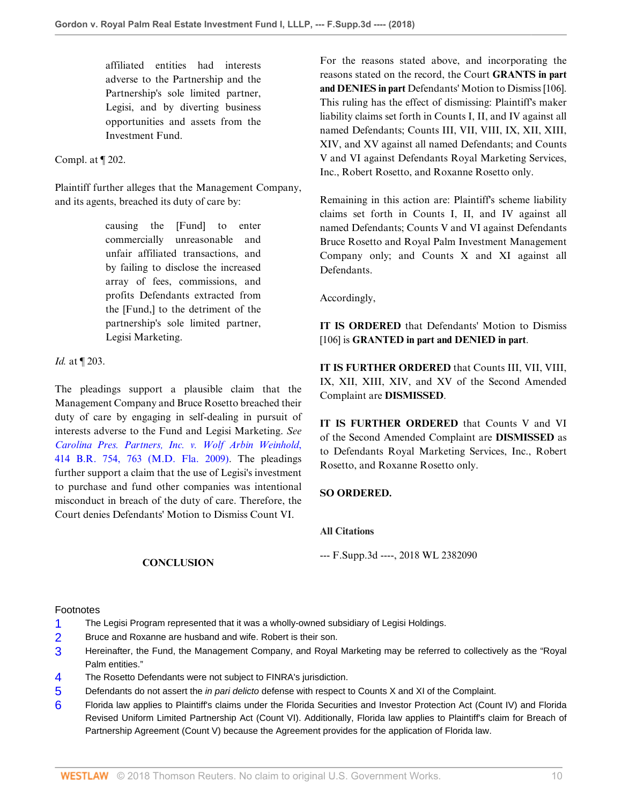affiliated entities had interests adverse to the Partnership and the Partnership's sole limited partner, Legisi, and by diverting business opportunities and assets from the Investment Fund.

### Compl. at ¶ 202.

Plaintiff further alleges that the Management Company, and its agents, breached its duty of care by:

> causing the [Fund] to enter commercially unreasonable and unfair affiliated transactions, and by failing to disclose the increased array of fees, commissions, and profits Defendants extracted from the [Fund,] to the detriment of the partnership's sole limited partner, Legisi Marketing.

*Id.* at ¶ 203.

The pleadings support a plausible claim that the Management Company and Bruce Rosetto breached their duty of care by engaging in self-dealing in pursuit of interests adverse to the Fund and Legisi Marketing. *See [Carolina Pres. Partners, Inc. v. Wolf Arbin Weinhold](http://www.westlaw.com/Link/Document/FullText?findType=Y&serNum=2018496516&pubNum=0000164&originatingDoc=Ie0dc0020607311e88808c81b5a222cba&refType=RP&fi=co_pp_sp_164_763&originationContext=document&vr=3.0&rs=cblt1.0&transitionType=DocumentItem&contextData=(sc.Folder*cid.8c6830bd08db4649a123d2eba321c023*oc.Search)#co_pp_sp_164_763)*, [414 B.R. 754, 763 \(M.D. Fla. 2009\)](http://www.westlaw.com/Link/Document/FullText?findType=Y&serNum=2018496516&pubNum=0000164&originatingDoc=Ie0dc0020607311e88808c81b5a222cba&refType=RP&fi=co_pp_sp_164_763&originationContext=document&vr=3.0&rs=cblt1.0&transitionType=DocumentItem&contextData=(sc.Folder*cid.8c6830bd08db4649a123d2eba321c023*oc.Search)#co_pp_sp_164_763). The pleadings further support a claim that the use of Legisi's investment to purchase and fund other companies was intentional misconduct in breach of the duty of care. Therefore, the Court denies Defendants' Motion to Dismiss Count VI.

For the reasons stated above, and incorporating the reasons stated on the record, the Court **GRANTS in part and DENIES in part** Defendants' Motion to Dismiss [106]. This ruling has the effect of dismissing: Plaintiff's maker liability claims set forth in Counts I, II, and IV against all named Defendants; Counts III, VII, VIII, IX, XII, XIII, XIV, and XV against all named Defendants; and Counts V and VI against Defendants Royal Marketing Services, Inc., Robert Rosetto, and Roxanne Rosetto only.

Remaining in this action are: Plaintiff's scheme liability claims set forth in Counts I, II, and IV against all named Defendants; Counts V and VI against Defendants Bruce Rosetto and Royal Palm Investment Management Company only; and Counts X and XI against all Defendants.

Accordingly,

**IT IS ORDERED** that Defendants' Motion to Dismiss [106] is **GRANTED in part and DENIED in part**.

**IT IS FURTHER ORDERED** that Counts III, VII, VIII, IX, XII, XIII, XIV, and XV of the Second Amended Complaint are **DISMISSED**.

**IT IS FURTHER ORDERED** that Counts V and VI of the Second Amended Complaint are **DISMISSED** as to Defendants Royal Marketing Services, Inc., Robert Rosetto, and Roxanne Rosetto only.

### **SO ORDERED.**

#### **All Citations**

--- F.Supp.3d ----, 2018 WL 2382090

### **CONCLUSION**

#### Footnotes

- <span id="page-9-0"></span>[1](#page-1-0) The Legisi Program represented that it was a wholly-owned subsidiary of Legisi Holdings.
- <span id="page-9-1"></span>[2](#page-1-1) Bruce and Roxanne are husband and wife. Robert is their son.
- <span id="page-9-2"></span>[3](#page-1-2) Hereinafter, the Fund, the Management Company, and Royal Marketing may be referred to collectively as the "Royal Palm entities."
- <span id="page-9-3"></span>[4](#page-2-0) The Rosetto Defendants were not subject to FINRA's jurisdiction.
- <span id="page-9-4"></span>[5](#page-3-0) Defendants do not assert the *in pari delicto* defense with respect to Counts X and XI of the Complaint.
- <span id="page-9-5"></span>[6](#page-5-0) Florida law applies to Plaintiff's claims under the Florida Securities and Investor Protection Act (Count IV) and Florida Revised Uniform Limited Partnership Act (Count VI). Additionally, Florida law applies to Plaintiff's claim for Breach of Partnership Agreement (Count V) because the Agreement provides for the application of Florida law.